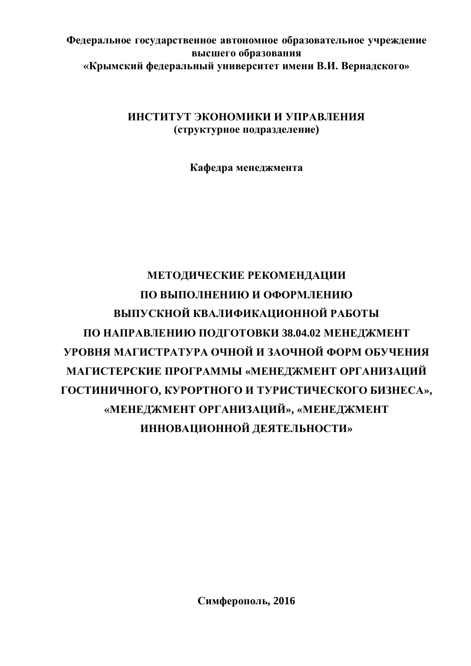# Федеральное государственное автономное образовательное учреждение **высшего образования** «Крымский федеральный университет имени В.И. Вернадского»

# ИНСТИТУТ ЭКОНОМИКИ И УПРАВЛЕНИЯ  $(c$ труктурное подразделение)

Кафедра менеджмента

# МЕТОДИЧЕСКИЕ РЕКОМЕНДАЦИИ ПО ВЫПОЛНЕНИЮ И ОФОРМЛЕНИЮ **ВЫПУСКНОЙ КВАЛИФИКАЦИОННОЙ РАБОТЫ** ПО НАПРАВЛЕНИЮ ПОДГОТОВКИ 38.04.02 МЕНЕДЖМЕНТ **УРОВНЯ МАГИСТРАТУРА ОЧНОЙ И ЗАОЧНОЙ ФОРМ ОБУЧЕНИЯ** МАГИСТЕРСКИЕ ПРОГРАММЫ «МЕНЕДЖМЕНТ ОРГАНИЗАЦИЙ **ȽɈɋɌɂɇɂɑɇɈȽɈ, ɄɍɊɈɊɌɇɈȽɈɂɌɍɊɂɋɌɂɑȿɋɄɈȽɈȻɂɁɇȿɋȺ»,** «МЕНЕДЖМЕНТ ОРГАНИЗАЦИЙ», «МЕНЕДЖМЕНТ ИННОВАЦИОННОЙ ДЕЯТЕЛЬНОСТИ»

Симферополь, 2016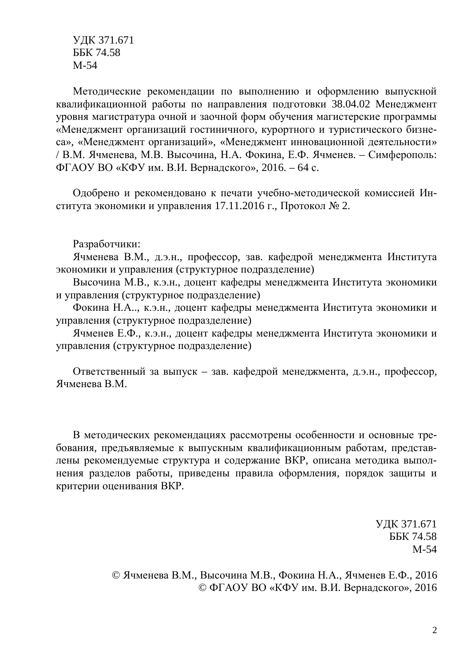ɍȾɄ 371.671 ȻȻɄ 74.58 M-54

Методические рекомендации по выполнению и оформлению выпускной квалификационной работы по направления подготовки 38.04.02 Менеджмент уровня магистратура очной и заочной форм обучения магистерские программы «Менеджмент организаций гостиничного, курортного и туристического бизнеса», «Менеджмент организаций», «Менеджмент инновационной деятельности» / В.М. Ячменева, М.В. Высочина, Н.А. Фокина, Е.Ф. Ячменев. – Симферополь: ФГАОУ ВО «КФУ им. В.И. Вернадского», 2016. – 64 с.

Одобрено и рекомендовано к печати учебно-методической комиссией Института экономики и управления 17.11.2016 г., Протокол  $\mathbb{N}^{\circ}$  2.

Разработчики:

Ячменева В.М., д.э.н., профессор, зав. кафедрой менеджмента Института экономики и управления (структурное подразделение)

Высочина М.В., к.э.н., доцент кафедры менеджмента Института экономики и управления (структурное подразделение)

Фокина Н.А., к.э.н., доцент кафедры менеджмента Института экономики и управления (структурное подразделение)

Ячменев Е.Ф., к.э.н., доцент кафедры менеджмента Института экономики и үправления (структурное подразделение)

Ответственный за выпуск – зав. кафедрой менеджмента, д.э.н., профессор, Ячменева В.М.

В методических рекомендациях рассмотрены особенности и основные требования, предъявляемые к выпускным квалификационным работам, представлены рекомендуемые структура и содержание ВКР, описана методика выполнения разделов работы, приведены правила оформления, порядок защиты и критерии оценивания ВКР.

> ɍȾɄ 371.671 **ББК 74.58** M-54

© Ячменева В.М., Высочина М.В., Фокина Н.А., Ячменев Е.Ф., 2016 © ФГАОУ ВО «КФУ им. В.И. Вернадского», 2016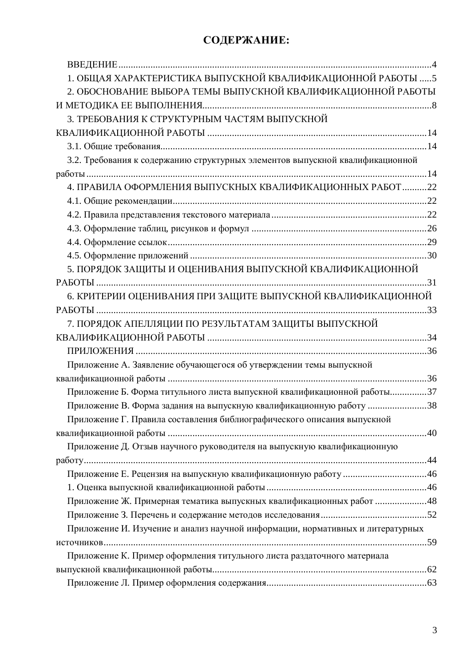# СОДЕРЖАНИЕ:

| 1. ОБЩАЯ ХАРАКТЕРИСТИКА ВЫПУСКНОЙ КВАЛИФИКАЦИОННОЙ РАБОТЫ  5                   |  |
|--------------------------------------------------------------------------------|--|
| 2. ОБОСНОВАНИЕ ВЫБОРА ТЕМЫ ВЫПУСКНОЙ КВАЛИФИКАЦИОННОЙ РАБОТЫ                   |  |
|                                                                                |  |
| 3. ТРЕБОВАНИЯ К СТРУКТУРНЫМ ЧАСТЯМ ВЫПУСКНОЙ                                   |  |
|                                                                                |  |
|                                                                                |  |
| 3.2. Требования к содержанию структурных элементов выпускной квалификационной  |  |
|                                                                                |  |
| 4. ПРАВИЛА ОФОРМЛЕНИЯ ВЫПУСКНЫХ КВАЛИФИКАЦИОННЫХ РАБОТ 22                      |  |
|                                                                                |  |
|                                                                                |  |
|                                                                                |  |
|                                                                                |  |
|                                                                                |  |
| 5. ПОРЯДОК ЗАЩИТЫ И ОЦЕНИВАНИЯ ВЫПУСКНОЙ КВАЛИФИКАЦИОННОЙ                      |  |
|                                                                                |  |
| 6. КРИТЕРИИ ОЦЕНИВАНИЯ ПРИ ЗАЩИТЕ ВЫПУСКНОЙ КВАЛИФИКАЦИОННОЙ                   |  |
|                                                                                |  |
| 7. ПОРЯДОК АПЕЛЛЯЦИИ ПО РЕЗУЛЬТАТАМ ЗАЩИТЫ ВЫПУСКНОЙ                           |  |
|                                                                                |  |
|                                                                                |  |
| Приложение А. Заявление обучающегося об утверждении темы выпускной             |  |
|                                                                                |  |
| Приложение Б. Форма титульного листа выпускной квалификационной работы37       |  |
| Приложение В. Форма задания на выпускную квалификационную работу 38            |  |
| Приложение Г. Правила составления библиографического описания выпускной        |  |
|                                                                                |  |
| Приложение Д. Отзыв научного руководителя на выпускную квалификационную        |  |
|                                                                                |  |
|                                                                                |  |
|                                                                                |  |
| Приложение Ж. Примерная тематика выпускных квалификационных работ 48           |  |
|                                                                                |  |
| Приложение И. Изучение и анализ научной информации, нормативных и литературных |  |
|                                                                                |  |
| Приложение К. Пример оформления титульного листа раздаточного материала        |  |
|                                                                                |  |
|                                                                                |  |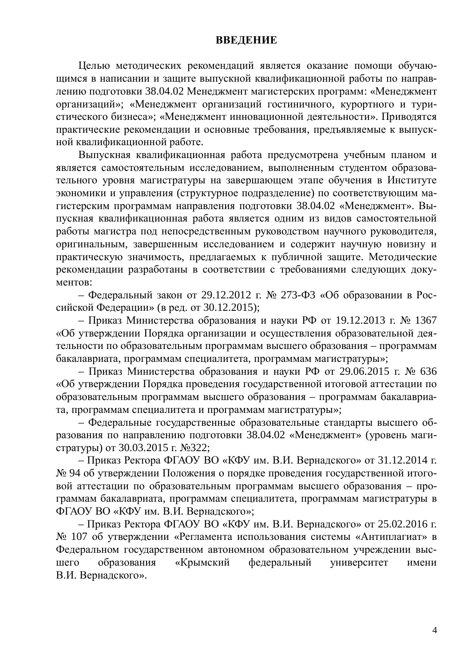### <span id="page-3-1"></span><span id="page-3-0"></span>**ВВЕДЕНИЕ**

Целью методических рекомендаций является оказание помощи обучающимся в написании и защите выпускной квалификационной работы по направлению подготовки 38.04.02 Менеджмент магистерских программ: «Менеджмент организаций»; «Менеджмент организаций гостиничного, курортного и туристического бизнеса»; «Менеджмент инновационной деятельности». Приводятся практические рекомендации и основные требования, предъявляемые к выпускной квалификационной работе.

Выпускная квалификационная работа предусмотрена учебным планом и является самостоятельным исследованием, выполненным студентом образовательного уровня магистратуры на завершающем этапе обучения в Институте экономики и управления (структурное подразделение) по соответствующим магистерским программам направления подготовки 38.04.02 «Менеджмент». Выпускная квалификационная работа является одним из видов самостоятельной работы магистра под непосредственным руководством научного руководителя, оригинальным, завершенным исследованием и содержит научную новизну и практическую значимость, предлагаемых к публичной защите. Методические рекомендации разработаны в соответствии с требованиями следующих доку-Mehtob:

– Федеральный закон от 29.12.2012 г. № 273-ФЗ «Об образовании в Российской Федерации» (в ред. от 30.12.2015);

– Приказ Министерства образования и науки РФ от 19.12.2013 г. № 1367 «Об утверждении Порядка организации и осуществления образовательной деятельности по образовательным программам высшего образования – программам бакалавриата, программам специалитета, программам магистратуры»;

– Приказ Министерства образования и науки РФ от 29.06.2015 г. № 636 «Об утверждении Порядка проведения государственной итоговой аттестации по образовательным программам высшего образования – программам бакалавриата, программам специалитета и программам магистратуры»;

– Федеральные государственные образовательные стандарты высшего образования по направлению подготовки 38.04.02 «Менеджмент» (уровень магистратуры) от 30.03.2015 г. №322;

– Приказ Ректора ФГАОУ ВО «КФУ им. В.И. Вернадского» от 31.12.2014 г. № 94 об утверждении Положения о порядке проведения государственной итоговой аттестации по образовательным программам высшего образования - программам бакалавриата, программам специалитета, программам магистратуры в ФГАОУ ВО «КФУ им. В.И. Вернадского»;

– Приказ Ректора ФГАОУ ВО «КФУ им. В.И. Вернадского» от 25.02.2016 г. № 107 об утверждении «Регламента использования системы «Антиплагиат» в Федеральном государственном автономном образовательном учреждении высшего образования «Крымский федеральный университет имени В.И. Вернадского».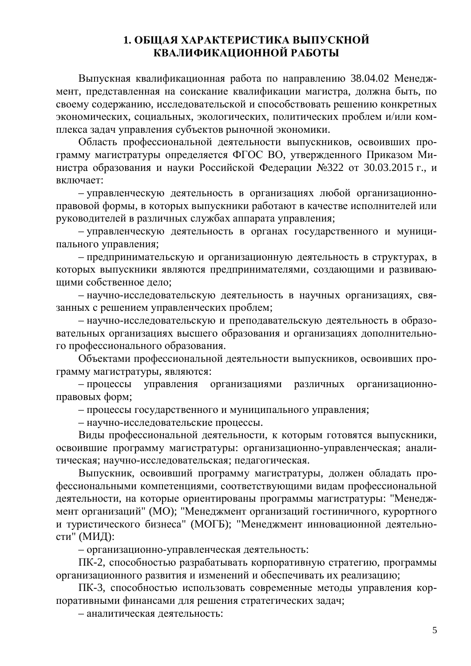# <span id="page-4-0"></span>1. ОБЩАЯ ХАРАКТЕРИСТИКА ВЫПУСКНОЙ КВАЛИФИКАШИОННОЙ РАБОТЫ

Выпускная квалификационная работа по направлению 38.04.02 Менеджмент, представленная на соискание квалификации магистра, должна быть, по своему содержанию, исследовательской и способствовать решению конкретных экономических, социальных, экологических, политических проблем и/или комплекса задач управления субъектов рыночной экономики.

Область профессиональной деятельности выпускников, освоивших программу магистратуры определяется ФГОС ВО, утвержденного Приказом Министра образования и науки Российской Федерации №322 от 30.03.2015 г., и включает:

– управленческую деятельность в организациях любой организационноправовой формы, в которых выпускники работают в качестве исполнителей или руководителей в различных службах аппарата управления;

- управленческую деятельность в органах государственного и муниципального управления;

– предпринимательскую и организационную деятельность в структурах, в которых выпускники являются предпринимателями, создающими и развивающими собственное дело:

- научно-исследовательскую деятельность в научных организациях, связанных с решением управленческих проблем;

– научно-исследовательскую и преподавательскую деятельность в образовательных организациях высшего образования и организациях дополнительного профессионального образования.

Объектами профессиональной деятельности выпускников, освоивших программу магистратуры, являются:

- процессы управления организациями различных организационноправовых форм;

- процессы государственного и муниципального управления;

– научно-исследовательские процессы.

Виды профессиональной деятельности, к которым готовятся выпускники, освоившие программу магистратуры: организационно-управленческая; аналитическая; научно-исследовательская; педагогическая.

Выпускник, освоивший программу магистратуры, должен обладать профессиональными компетенциями, соответствующими видам профессиональной деятельности, на которые ориентированы программы магистратуры: "Менеджмент организаций" (МО); "Менеджмент организаций гостиничного, курортного и туристического бизнеса" (МОГБ); "Менеджмент инновационной деятельности" (МИД):

- организационно-управленческая деятельность:

ПК-2, способностью разрабатывать корпоративную стратегию, программы организационного развития и изменений и обеспечивать их реализацию;

ПК-3, способностью использовать современные методы управления корпоративными финансами для решения стратегических задач;

– аналитическая деятельность: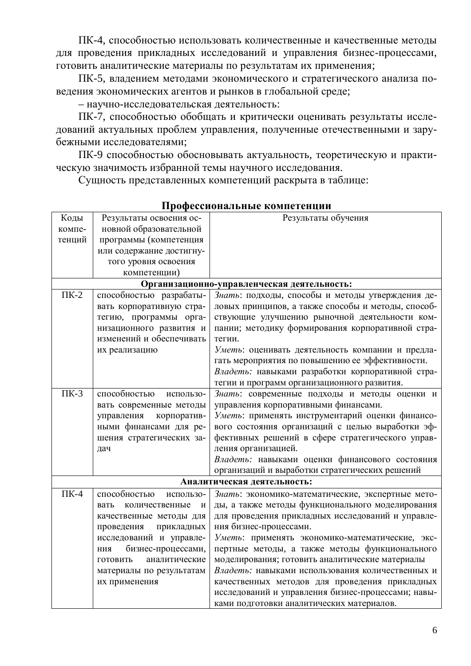ПК-4, способностью использовать количественные и качественные методы для проведения прикладных исследований и управления бизнес-процессами, готовить аналитические материалы по результатам их применения;

ПК-5, владением методами экономического и стратегического анализа поведения экономических агентов и рынков в глобальной среде;

– научно-исследовательская деятельность:

ПК-7, способностью обобщать и критически оценивать результаты исследований актуальных проблем управления, полученные отечественными и зарубежными исследователями;

ПК-9 способностью обосновывать актуальность, теоретическую и практическую значимость избранной темы научного исследования.

Сущность представленных компетенций раскрыта в таблице:

| Коды      | Результаты освоения ос-     | Результаты обучения                                |
|-----------|-----------------------------|----------------------------------------------------|
| компе-    | новной образовательной      |                                                    |
| тенций    | программы (компетенция      |                                                    |
|           | или содержание достигну-    |                                                    |
|           | того уровня освоения        |                                                    |
|           | компетенции)                |                                                    |
|           |                             | Организационно-управленческая деятельность:        |
| $\Pi K-2$ | способностью разрабаты-     | Знать: подходы, способы и методы утверждения де-   |
|           | вать корпоративную стра-    | ловых принципов, а также способы и методы, способ- |
|           | тегию, программы орга-      | ствующие улучшению рыночной деятельности ком-      |
|           | низационного развития и     | пании; методику формирования корпоративной стра-   |
|           | изменений и обеспечивать    | тегии.                                             |
|           | их реализацию               | Уметь: оценивать деятельность компании и предла-   |
|           |                             | гать мероприятия по повышению ее эффективности.    |
|           |                             | Владеть: навыками разработки корпоративной стра-   |
|           |                             | тегии и программ организационного развития.        |
| $\Pi K-3$ | способностью<br>использо-   | Знать: современные подходы и методы оценки и       |
|           | вать современные методы     | управления корпоративными финансами.               |
|           | корпоратив-<br>управления   | Уметь: применять инструментарий оценки финансо-    |
|           | ными финансами для ре-      | вого состояния организаций с целью выработки эф-   |
|           | шения стратегических за-    | фективных решений в сфере стратегического управ-   |
|           | дач                         | ления организацией.                                |
|           |                             | Владеть: навыками оценки финансового состояния     |
|           |                             | организаций и выработки стратегических решений     |
|           |                             | Аналитическая деятельность:                        |
| $\Pi K-4$ | способностью<br>использо-   | Знать: экономико-математические, экспертные мето-  |
|           | количественные<br>вать<br>И | ды, а также методы функционального моделирования   |
|           | качественные методы для     | для проведения прикладных исследований и управле-  |
|           | проведения<br>прикладных    | ния бизнес-процессами.                             |
|           | исследований и управле-     | Уметь: применять экономико-математические, экс-    |
|           | бизнес-процессами,<br>ния   | пертные методы, а также методы функционального     |
|           | аналитические<br>ГОТОВИТЬ   | моделирования; готовить аналитические материалы    |
|           | материалы по результатам    | Владеть: навыками использования количественных и   |
|           | их применения               | качественных методов для проведения прикладных     |
|           |                             | исследований и управления бизнес-процессами; навы- |
|           |                             | ками подготовки аналитических материалов.          |

### Профессиональные компетенции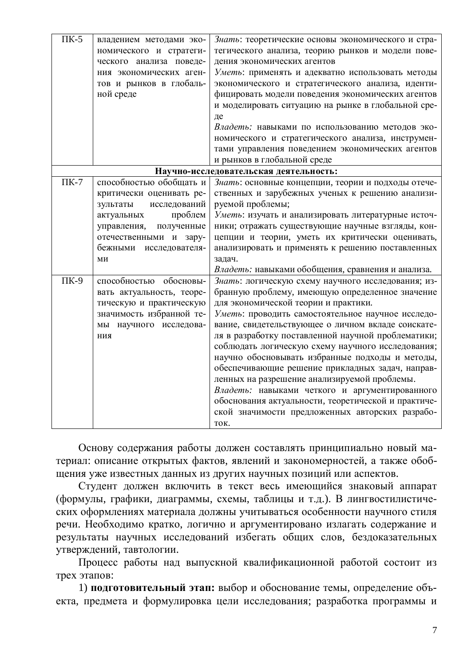| $\Pi K-5$ | владением методами эко-<br>номического и стратеги-<br>ческого анализа поведе-<br>ния экономических аген-<br>тов и рынков в глобаль-<br>ной среде | Знать: теоретические основы экономического и стра-<br>тегического анализа, теорию рынков и модели пове-<br>дения экономических агентов<br>Уметь: применять и адекватно использовать методы<br>экономического и стратегического анализа, иденти-<br>фицировать модели поведения экономических агентов<br>и моделировать ситуацию на рынке в глобальной сре-<br>де                                                                                                                                                                                                                                                                                                                               |
|-----------|--------------------------------------------------------------------------------------------------------------------------------------------------|------------------------------------------------------------------------------------------------------------------------------------------------------------------------------------------------------------------------------------------------------------------------------------------------------------------------------------------------------------------------------------------------------------------------------------------------------------------------------------------------------------------------------------------------------------------------------------------------------------------------------------------------------------------------------------------------|
|           |                                                                                                                                                  | Владеть: навыками по использованию методов эко-<br>номического и стратегического анализа, инструмен-                                                                                                                                                                                                                                                                                                                                                                                                                                                                                                                                                                                           |
|           |                                                                                                                                                  | тами управления поведением экономических агентов<br>и рынков в глобальной среде                                                                                                                                                                                                                                                                                                                                                                                                                                                                                                                                                                                                                |
|           |                                                                                                                                                  | Научно-исследовательская деятельность:                                                                                                                                                                                                                                                                                                                                                                                                                                                                                                                                                                                                                                                         |
| $\Pi K-7$ | способностью обобщать и<br>критически оценивать ре-<br>исследований<br>зультаты                                                                  | Знать: основные концепции, теории и подходы отече-<br>ственных и зарубежных ученых к решению анализи-<br>руемой проблемы;                                                                                                                                                                                                                                                                                                                                                                                                                                                                                                                                                                      |
|           | проблем<br>актуальных<br>полученные<br>управления,<br>отечественными и зару-<br>бежными исследователя-<br>МИ                                     | Уметь: изучать и анализировать литературные источ-<br>ники; отражать существующие научные взгляды, кон-<br>цепции и теории, уметь их критически оценивать,<br>анализировать и применять к решению поставленных<br>задач.                                                                                                                                                                                                                                                                                                                                                                                                                                                                       |
|           |                                                                                                                                                  | Владеть: навыками обобщения, сравнения и анализа.                                                                                                                                                                                                                                                                                                                                                                                                                                                                                                                                                                                                                                              |
| $\Pi K-9$ | способностью обосновы-<br>вать актуальность, теоре-<br>тическую и практическую<br>значимость избранной те-<br>мы научного исследова-<br>НИЯ      | Знать: логическую схему научного исследования; из-<br>бранную проблему, имеющую определенное значение<br>для экономической теории и практики.<br>Уметь: проводить самостоятельное научное исследо-<br>вание, свидетельствующее о личном вкладе соискате-<br>ля в разработку поставленной научной проблематики;<br>соблюдать логическую схему научного исследования;<br>научно обосновывать избранные подходы и методы,<br>обеспечивающие решение прикладных задач, направ-<br>ленных на разрешение анализируемой проблемы.<br>Владеть: навыками четкого и аргументированного<br>обоснования актуальности, теоретической и практиче-<br>ской значимости предложенных авторских разрабо-<br>TOK. |

Основу содержания работы должен составлять принципиально новый материал: описание открытых фактов, явлений и закономерностей, а также обобщения уже известных данных из других научных позиций или аспектов.

Студент должен включить в текст весь имеющийся знаковый аппарат (формулы, графики, диаграммы, схемы, таблицы и т.д.). В лингвостилистических оформлениях материала должны учитываться особенности научного стиля речи. Необходимо кратко, логично и аргументировано излагать содержание и результаты научных исследований избегать общих слов, бездоказательных утверждений, тавтологии.

Процесс работы над выпускной квалификационной работой состоит из трех этапов:

1) подготовительный этап: выбор и обоснование темы, определение объекта, предмета и формулировка цели исследования; разработка программы и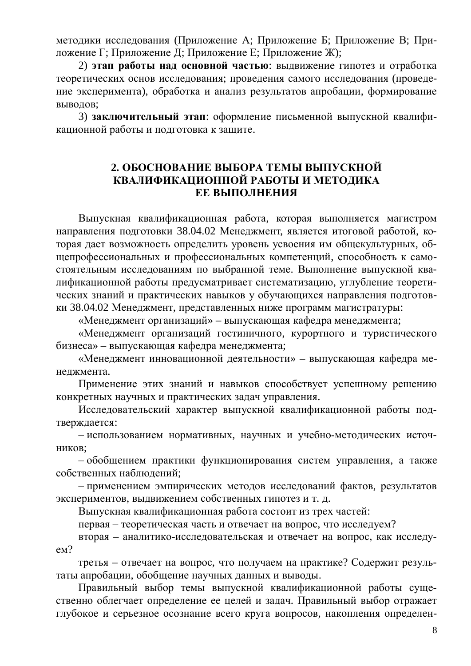методики исследования (Приложение А; Приложение Б; Приложение В; Приложение Г; Приложение Д; Приложение Е; Приложение Ж);

2) этап работы над основной частью: выдвижение гипотез и отработка теоретических основ исследования; проведения самого исследования (проведение эксперимента), обработка и анализ результатов апробации, формирование выводов;

3) заключительный этап: оформление письменной выпускной квалификационной работы и подготовка к защите.

# <span id="page-7-0"></span>**2. ɈȻɈɋɇɈȼȺɇɂȿȼɕȻɈɊȺɌȿɆɕȼɕɉɍɋɄɇɈɃ** КВАЛИФИКАЦИОННОЙ РАБОТЫ И МЕТОДИКА **ЕЕ ВЫПОЛНЕНИЯ**

Выпускная квалификационная работа, которая выполняется магистром направления подготовки 38.04.02 Менеджмент, является итоговой работой, которая дает возможность определить уровень усвоения им общекультурных, общепрофессиональных и профессиональных компетенций, способность к самостоятельным исследованиям по выбранной теме. Выполнение выпускной квалификационной работы предусматривает систематизацию, углубление теоретических знаний и практических навыков у обучающихся направления подготовки 38.04.02 Менеджмент, представленных ниже программ магистратуры:

«Менеджмент организаций» – выпускающая кафедра менеджмента;

«Менеджмент организаций гостиничного, курортного и туристического бизнеса» – выпускающая кафедра менеджмента;

«Менеджмент инновационной деятельности» – выпускающая кафедра менеджмента.

Применение этих знаний и навыков способствует успешному решению конкретных научных и практических задач управления.

Исследовательский характер выпускной квалификационной работы подтверждается:

– использованием нормативных, научных и учебно-методических источников:

– обобщением практики функционирования систем управления, а также собственных наблюдений;

– применением эмпирических методов исследований фактов, результатов экспериментов, выдвижением собственных гипотез и т. д.

Выпускная квалификационная работа состоит из трех частей:

первая – теоретическая часть и отвечает на вопрос, что исследуем?

вторая – аналитико-исследовательская и отвечает на вопрос, как исследуe<sub>M</sub>?

третья – отвечает на вопрос, что получаем на практике? Содержит результаты апробации, обобщение научных данных и выводы.

Правильный выбор темы выпускной квалификационной работы существенно облегчает определение ее целей и задач. Правильный выбор отражает глубокое и серьезное осознание всего круга вопросов, накопления определен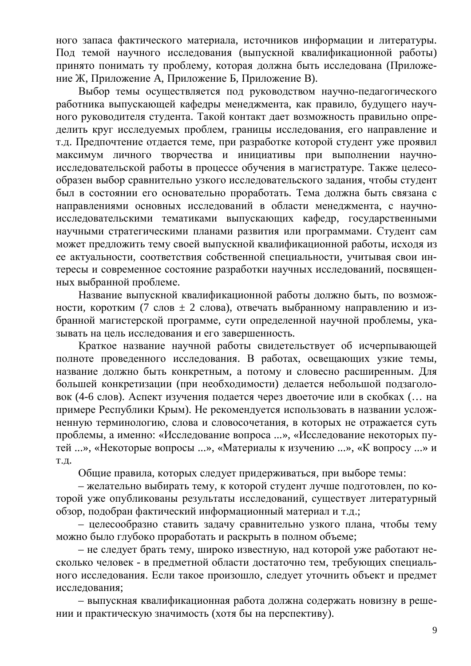ного запаса фактического материала, источников информации и литературы. Под темой научного исследования (выпускной квалификационной работы) принято понимать ту проблему, которая должна быть исследована (Приложение Ж, Приложение А, Приложение Б, Приложение В).

Выбор темы осуществляется под руководством научно-педагогического работника выпускающей кафедры менеджмента, как правило, будущего научного руководителя студента. Такой контакт дает возможность правильно определить круг исследуемых проблем, границы исследования, его направление и т.д. Предпочтение отдается теме, при разработке которой студент уже проявил максимум личного творчества и инициативы при выполнении научноисследовательской работы в процессе обучения в магистратуре. Также целесообразен выбор сравнительно узкого исследовательского задания, чтобы студент был в состоянии его основательно проработать. Тема должна быть связана с направлениями основных исследований в области менеджмента, с научноисследовательскими тематиками выпускающих кафедр, государственными научными стратегическими планами развития или программами. Студент сам может предложить тему своей выпускной квалификационной работы, исходя из ее актуальности, соответствия собственной специальности, учитывая свои интересы и современное состояние разработки научных исследований, посвященных выбранной проблеме.

Название выпускной квалификационной работы должно быть, по возможности, коротким (7 слов  $\pm$  2 слова), отвечать выбранному направлению и избранной магистерской программе, сути определенной научной проблемы, указывать на цель исследования и его завершенность.

Краткое название научной работы свидетельствует об исчерпывающей полноте проведенного исследования. В работах, освещающих узкие темы, название должно быть конкретным, а потому и словесно расширенным. Для большей конкретизации (при необходимости) делается небольшой подзаголовок (4-6 слов). Аспект изучения подается через двоеточие или в скобках (... на примере Республики Крым). Не рекомендуется использовать в названии усложненную терминологию, слова и словосочетания, в которых не отражается суть проблемы, а именно: «Исследование вопроса ...», «Исследование некоторых путей ...», «Некоторые вопросы ...», «Материалы к изучению ...», «К вопросу ...» и Т.Д.

Общие правила, которых следует придерживаться, при выборе темы:

– желательно выбирать тему, к которой студент лучше подготовлен, по которой уже опубликованы результаты исследований, существует литературный обзор, подобран фактический информационный материал и т.д.;

– целесообразно ставить задачу сравнительно узкого плана, чтобы тему можно было глубоко проработать и раскрыть в полном объеме;

– не следует брать тему, широко известную, над которой уже работают несколько человек - в предметной области достаточно тем, требующих специального исследования. Если такое произошло, следует уточнить объект и предмет исследования;

– выпускная квалификационная работа должна содержать новизну в решении и практическую значимость (хотя бы на перспективу).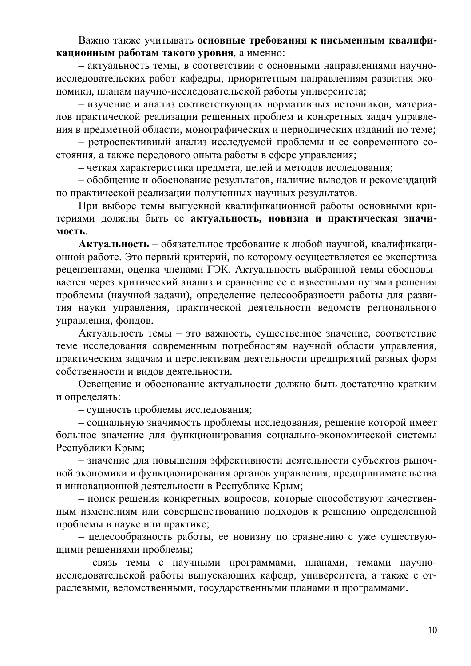Важно также учитывать основные требования к письменным квалификационным работам такого уровня, а именно:

– актуальность темы, в соответствии с основными направлениями научноисследовательских работ кафедры, приоритетным направлениям развития экономики, планам научно-исследовательской работы университета;

- изучение и анализ соответствующих нормативных источников, материалов практической реализации решенных проблем и конкретных задач управления в предметной области, монографических и периодических изданий по теме;

– ретроспективный анализ исследуемой проблемы и ее современного состояния, а также передового опыта работы в сфере управления;

– четкая характеристика предмета, целей и методов исследования;

- обобщение и обоснование результатов, наличие выводов и рекомендаций по практической реализации полученных научных результатов.

При выборе темы выпускной квалификационной работы основными критериями должны быть ее актуальность, новизна и практическая значи-**МОСТЬ.** 

**Актуальность** – обязательное требование к любой научной, квалификационной работе. Это первый критерий, по которому осуществляется ее экспертиза рецензентами, оценка членами ГЭК. Актуальность выбранной темы обосновывается через критический анализ и сравнение ее с известными путями решения проблемы (научной задачи), определение целесообразности работы для развития науки управления, практической деятельности ведомств регионального управления, фондов.

Актуальность темы – это важность, существенное значение, соответствие теме исследования современным потребностям научной области управления, практическим задачам и перспективам деятельности предприятий разных форм собственности и видов деятельности.

Освещение и обоснование актуальности должно быть достаточно кратким и определять:

– сущность проблемы исследования;

- социальную значимость проблемы исследования, решение которой имеет большое значение для функционирования социально-экономической системы Республики Крым;

– значение для повышения эффективности деятельности субъектов рыночной экономики и функционирования органов управления, предпринимательства и инновационной деятельности в Республике Крым;

– поиск решения конкретных вопросов, которые способствуют качественным изменениям или совершенствованию подходов к решению определенной проблемы в науке или практике;

– целесообразность работы, ее новизну по сравнению с уже существующими решениями проблемы;

- связь темы с научными программами, планами, темами научноисследовательской работы выпускающих кафедр, университета, а также с отраслевыми, ведомственными, государственными планами и программами.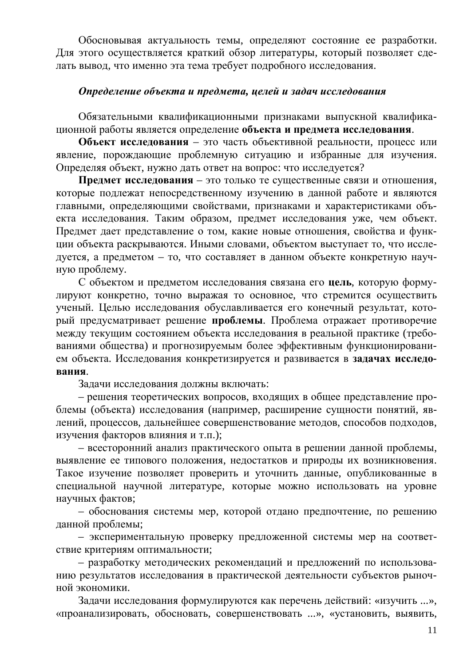Обосновывая актуальность темы, определяют состояние ее разработки. Для этого осуществляется краткий обзор литературы, который позволяет сделать вывод, что именно эта тема требует подробного исследования.

## *Ɉɩɪɟɞɟɥɟɧɢɟɨɛɴɟɤɬɚɢɩɪɟɞɦɟɬɚ, ɰɟɥɟɣɢɡɚɞɚɱɢɫɫɥɟɞɨɜɚɧɢɹ*

Обязательными квалификационными признаками выпускной квалификационной работы является определение объекта и предмета исследования.

**Объект исследования** – это часть объективной реальности, процесс или явление, порождающие проблемную ситуацию и избранные для изучения. Определяя объект, нужно дать ответ на вопрос: что исследуется?

Предмет исследования - это только те существенные связи и отношения, которые подлежат непосредственному изучению в данной работе и являются главными, определяющими свойствами, признаками и характеристиками объекта исследования. Таким образом, предмет исследования уже, чем объект. Предмет дает представление о том, какие новые отношения, свойства и функции объекта раскрываются. Иными словами, объектом выступает то, что исследуется, а предметом – то, что составляет в данном объекте конкретную научную проблему.

С объектом и предметом исследования связана его **цель**, которую формулируют конкретно, точно выражая то основное, что стремится осуществить ученый. Целью исследования обуславливается его конечный результат, который предусматривает решение **проблемы**. Проблема отражает противоречие между текущим состоянием объекта исследования в реальной практике (требованиями общества) и прогнозируемым более эффективным функционированием объекта. Исследования конкретизируется и развивается в задачах исследо**вания**.

Задачи исследования должны включать:

- решения теоретических вопросов, входящих в общее представление проблемы (объекта) исследования (например, расширение сущности понятий, явлений, процессов, дальнейшее совершенствование методов, способов подходов, изучения факторов влияния и т.п.);

– всесторонний анализ практического опыта в решении данной проблемы, выявление ее типового положения, недостатков и природы их возникновения. Такое изучение позволяет проверить и уточнить данные, опубликованные в специальной научной литературе, которые можно использовать на уровне научных фактов;

– обоснования системы мер, которой отдано предпочтение, по решению данной проблемы;

– экспериментальную проверку предложенной системы мер на соответствие критериям оптимальности;

– разработку методических рекомендаций и предложений по использованию результатов исследования в практической деятельности субъектов рыночной экономики.

Задачи исследования формулируются как перечень действий: «изучить ...», «проанализировать, обосновать, совершенствовать ...», «установить, выявить,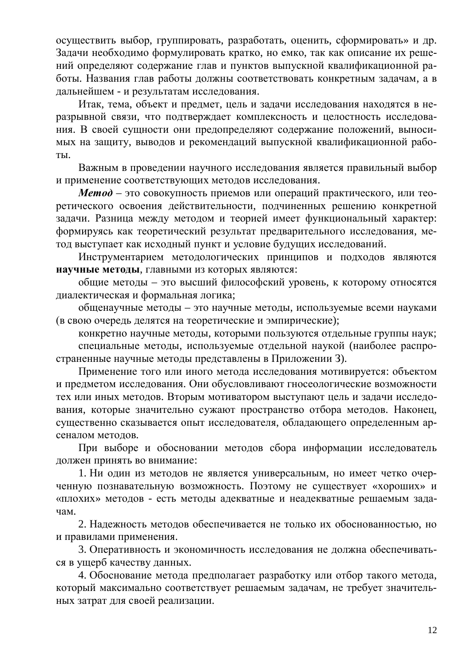осуществить выбор, группировать, разработать, оценить, сформировать» и др. Задачи необходимо формулировать кратко, но емко, так как описание их решений определяют содержание глав и пунктов выпускной квалификационной работы. Названия глав работы должны соответствовать конкретным задачам, а в дальнейшем - и результатам исследования.

Итак, тема, объект и предмет, цель и задачи исследования находятся в неразрывной связи, что подтверждает комплексность и целостность исследования. В своей сущности они предопределяют содержание положений, выносимых на защиту, выводов и рекомендаций выпускной квалификационной рабо-TЫ.

Важным в проведении научного исследования является правильный выбор и применение соответствующих методов исследования.

**Метод** – это совокупность приемов или операций практического, или теоретического освоения действительности, подчиненных решению конкретной задачи. Разница между методом и теорией имеет функциональный характер: формируясь как теоретический результат предварительного исследования, метод выступает как исходный пункт и условие будущих исследований.

Инструментарием методологических принципов и подходов являются **НАУЧНЫЕ МЕТОДЫ, ГЛАВНЫМИ ИЗ КОТОРЫХ ЯВЛЯЮТСЯ:** 

общие методы – это высший философский уровень, к которому относятся диалектическая и формальная логика;

общенаучные методы – это научные методы, используемые всеми науками (в свою очередь делятся на теоретические и эмпирические);

конкретно научные методы, которыми пользуются отдельные группы наук;

специальные методы, используемые отдельной наукой (наиболее распространенные научные методы представлены в Приложении 3).

Применение того или иного метода исследования мотивируется: объектом и предметом исследования. Они обусловливают гносеологические возможности тех или иных методов. Вторым мотиватором выступают цель и задачи исследования, которые значительно сужают пространство отбора методов. Наконец, существенно сказывается опыт исследователя, обладающего определенным арсеналом методов.

При выборе и обосновании методов сбора информации исследователь должен принять во внимание:

1. Ни один из методов не является универсальным, но имеет четко очерченную познавательную возможность. Поэтому не существует «хороших» и «плохих» методов - есть методы адекватные и неадекватные решаемым задачам.

2. Надежность методов обеспечивается не только их обоснованностью, но и правилами применения.

3. Оперативность и экономичность исследования не должна обеспечиваться в ущерб качеству данных.

4. Обоснование метода предполагает разработку или отбор такого метода, который максимально соответствует решаемым задачам, не требует значительных затрат для своей реализации.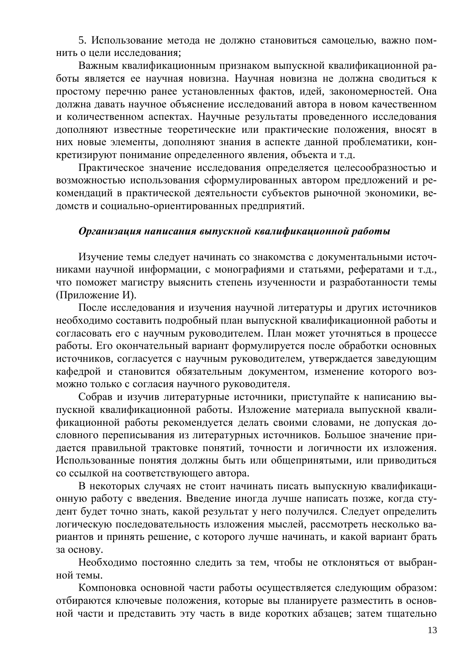5. Использование метода не должно становиться самоцелью, важно помнить о цели исследования;

Важным квалификационным признаком выпускной квалификационной работы является ее научная новизна. Научная новизна не должна сводиться к простому перечню ранее установленных фактов, идей, закономерностей. Она должна давать научное объяснение исследований автора в новом качественном и количественном аспектах. Научные результаты проведенного исследования дополняют известные теоретические или практические положения, вносят в них новые элементы, дополняют знания в аспекте данной проблематики, конкретизируют понимание определенного явления, объекта и т.д.

Практическое значение исследования определяется целесообразностью и возможностью использования сформулированных автором предложений и рекомендаций в практической деятельности субъектов рыночной экономики, ведомств и социально-ориентированных предприятий.

### Организация написания выпускной квалификационной работы

Изучение темы следует начинать со знакомства с документальными источниками научной информации, с монографиями и статьями, рефератами и т.д., что поможет магистру выяснить степень изученности и разработанности темы (Приложение И).

После исследования и изучения научной литературы и других источников необходимо составить подробный план выпускной квалификационной работы и согласовать его с научным руководителем. План может уточняться в процессе работы. Его окончательный вариант формулируется после обработки основных источников, согласуется с научным руководителем, утверждается заведующим кафедрой и становится обязательным документом, изменение которого возможно только с согласия научного руководителя.

Собрав и изучив литературные источники, приступайте к написанию выпускной квалификационной работы. Изложение материала выпускной квалификационной работы рекомендуется делать своими словами, не допуская дословного переписывания из литературных источников. Большое значение придается правильной трактовке понятий, точности и логичности их изложения. Использованные понятия должны быть или общепринятыми, или приводиться со ссылкой на соответствующего автора.

В некоторых случаях не стоит начинать писать выпускную квалификационную работу с введения. Введение иногда лучше написать позже, когда студент будет точно знать, какой результат у него получился. Следует определить логическую последовательность изложения мыслей, рассмотреть несколько вариантов и принять решение, с которого лучше начинать, и какой вариант брать за основу.

Необходимо постоянно следить за тем, чтобы не отклоняться от выбранной темы.

Компоновка основной части работы осуществляется следующим образом: отбираются ключевые положения, которые вы планируете разместить в основной части и представить эту часть в виде коротких абзацев; затем тщательно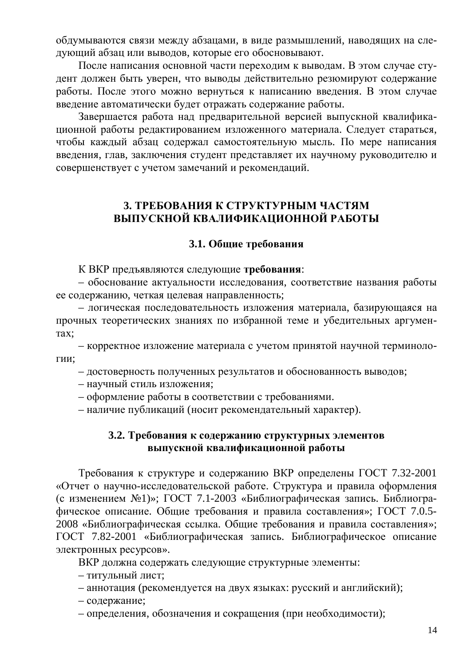обдумываются связи между абзацами, в виде размышлений, наводящих на следующий абзац или выводов, которые его обосновывают.

После написания основной части переходим к выводам. В этом случае студент должен быть уверен, что выводы действительно резюмируют содержание работы. После этого можно вернуться к написанию введения. В этом случае введение автоматически будет отражать содержание работы.

Завершается работа над предварительной версией выпускной квалификационной работы редактированием изложенного материала. Следует стараться, чтобы каждый абзац содержал самостоятельную мысль. По мере написания введения, глав, заключения студент представляет их научному руководителю и совершенствует с учетом замечаний и рекомендаций.

# <span id="page-13-0"></span>**3. ТРЕБОВАНИЯ К СТРУКТУРНЫМ ЧАСТЯМ** ВЫПУСКНОЙ КВАЛИФИКАЦИОННОЙ РАБОТЫ

## <span id="page-13-1"></span>3.1. Общие требования

К ВКР предъявляются следующие требования:

– обоснование актуальности исследования, соответствие названия работы ее содержанию, четкая целевая направленность;

– логическая последовательность изложения материала, базирующаяся на прочных теоретических знаниях по избранной теме и убедительных аргумен-Tax:

– корректное изложение материала с учетом принятой научной терминологии;

- достоверность полученных результатов и обоснованность выводов;

- научный стиль изложения;
- оформление работы в соответствии с требованиями.

– наличие публикаций (носит рекомендательный характер).

### <span id="page-13-2"></span>3.2. Требования к содержанию структурных элементов **выпускной квалификационной работы**

Требования к структуре и содержанию ВКР определены ГОСТ 7.32-2001 «Отчет о научно-исследовательской работе. Структура и правила оформления (с изменением №1)»; ГОСТ 7.1-2003 «Библиографическая запись. Библиографическое описание. Общие требования и правила составления»; ГОСТ 7.0.5-2008 «Библиографическая ссылка. Общие требования и правила составления»; ГОСТ 7.82-2001 «Библиографическая запись. Библиографическое описание электронных ресурсов».

ВКР должна содержать следующие структурные элементы:

- титульный лист;
- аннотация (рекомендуется на двух языках: русский и английский);

– содержание;

– определения, обозначения и сокращения (при необходимости);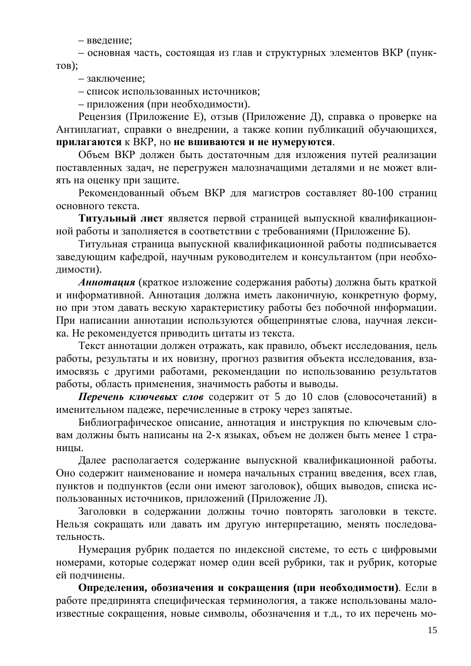– введение;

– основная часть, состоящая из глав и структурных элементов ВКР (пунк- $TOB$ ):

– заключение:

– список использованных источников;

– приложения (при необходимости).

Рецензия (Приложение Е), отзыв (Приложение Д), справка о проверке на Антиплагиат, справки о внедрении, а также копии публикаций обучающихся, прилагаются к ВКР, но не вшиваются и не нумеруются.

Объем ВКР должен быть достаточным для изложения путей реализации поставленных задач, не перегружен малозначащими деталями и не может влиять на оценку при защите.

Рекомендованный объем ВКР для магистров составляет 80-100 страниц основного текста.

Титульный лист является первой страницей выпускной квалификационной работы и заполняется в соответствии с требованиями (Приложение Б).

Титульная страница выпускной квалификационной работы подписывается заведующим кафедрой, научным руководителем и консультантом (при необходимости).

Аннотация (краткое изложение содержания работы) должна быть краткой и информативной. Аннотация должна иметь лаконичную, конкретную форму, но при этом давать вескую характеристику работы без побочной информации. При написании аннотации используются общепринятые слова, научная лексика. Не рекомендуется приводить цитаты из текста.

Текст аннотации должен отражать, как правило, объект исследования, цель работы, результаты и их новизну, прогноз развития объекта исследования, взаимосвязь с другими работами, рекомендации по использованию результатов работы, область применения, значимость работы и выводы.

Перечень ключевых слов содержит от 5 до 10 слов (словосочетаний) в именительном падеже, перечисленные в строку через запятые.

Библиографическое описание, аннотация и инструкция по ключевым словам должны быть написаны на 2-х языках, объем не должен быть менее 1 страницы.

Далее располагается содержание выпускной квалификационной работы. Оно содержит наименование и номера начальных страниц введения, всех глав, пунктов и подпунктов (если они имеют заголовок), общих выводов, списка использованных источников, приложений (Приложение Л).

Заголовки в содержании должны точно повторять заголовки в тексте. Нельзя сокращать или давать им другую интерпретацию, менять последовательность.

Нумерация рубрик полается по индексной системе, то есть с цифровыми номерами, которые содержат номер один всей рубрики, так и рубрик, которые ей подчинены.

Определения, обозначения и сокращения (при необходимости). Если в работе предпринята специфическая терминология, а также использованы малоизвестные сокращения, новые символы, обозначения и т.д., то их перечень мо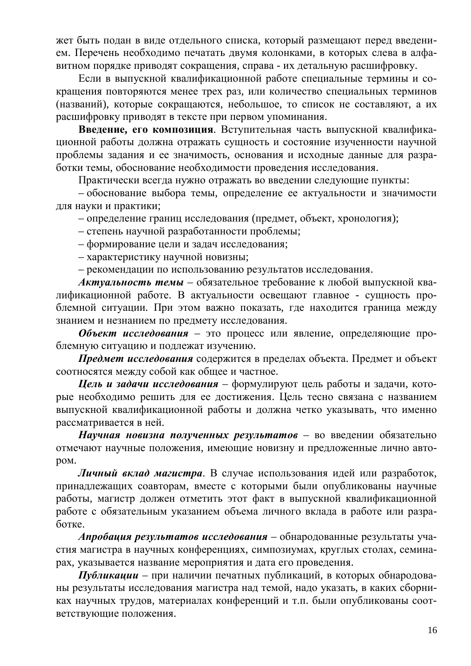жет быть подан в виде отдельного списка, который размещают перед введением. Перечень необходимо печатать двумя колонками, в которых слева в алфавитном порядке приводят сокращения, справа - их детальную расшифровку.

Если в выпускной квалификационной работе специальные термины и сокращения повторяются менее трех раз, или количество специальных терминов названий), которые сокращаются, небольшое, то список не составляют, а их расшифровку приводят в тексте при первом упоминания.

Введение, его композиция. Вступительная часть выпускной квалификационной работы должна отражать сущность и состояние изученности научной проблемы задания и ее значимость, основания и исходные данные для разработки темы, обоснование необходимости проведения исследования.

Практически всегда нужно отражать во введении следующие пункты:

– обоснование выбора темы, определение ее актуальности и значимости для науки и практики;

– определение границ исследования (предмет, объект, хронология);

– степень научной разработанности проблемы;

- формирование цели и задач исследования;
- характеристику научной новизны;

– рекомендации по использованию результатов исследования.

**Актуальность темы** – обязательное требование к любой выпускной квалификационной работе. В актуальности освещают главное - сущность проблемной ситуации. При этом важно показать, где находится граница между знанием и незнанием по предмету исследования.

Объект исследования - это процесс или явление, определяющие проблемную ситуацию и подлежат изучению.

**Предмет исследования содержится в пределах объекта. Предмет и объект** соотносятся между собой как общее и частное.

**Цель и задачи исследования** – формулируют цель работы и задачи, которые необходимо решить для ее достижения. Цель тесно связана с названием выпускной квалификационной работы и должна четко указывать, что именно рассматривается в ней.

Научная новизна полученных результатов - во введении обязательно отмечают научные положения, имеющие новизну и предложенные лично автоpom.

**Личный вклад магистра.** В случае использования идей или разработок, принадлежащих соавторам, вместе с которыми были опубликованы научные работы, магистр должен отметить этот факт в выпускной квалификационной работе с обязательным указанием объема личного вклада в работе или разработке.

**Апробация результатов исследования** – обнародованные результаты участия магистра в научных конференциях, симпозиумах, круглых столах, семинарах, указывается название мероприятия и дата его проведения.

 $\pi$ убликации – при наличии печатных публикаций, в которых обнародованы результаты исследования магистра над темой, надо указать, в каких сборниках научных трудов, материалах конференций и т.п. были опубликованы соответствующие положения.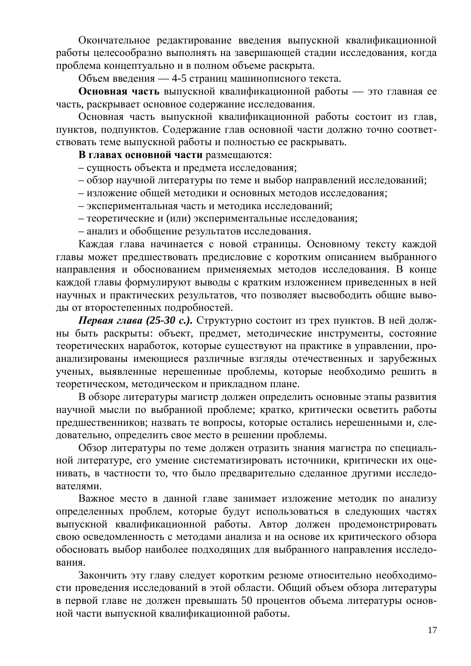Окончательное редактирование введения выпускной квалификационной работы целесообразно выполнять на завершающей стадии исследования, когда проблема концептуально и в полном объеме раскрыта.

Объем введения — 4-5 страниц машинописного текста.

Основная часть выпускной квалификационной работы — это главная ее часть, раскрывает основное содержание исследования.

Основная часть выпускной квалификационной работы состоит из глав, пунктов, подпунктов. Содержание глав основной части должно точно соответствовать теме выпускной работы и полностью ее раскрывать.

**В главах основной части размещаются:** 

– сущность объекта и предмета исследования;

- обзор научной литературы по теме и выбор направлений исследований;
- изложение общей методики и основных методов исследования;
- экспериментальная часть и методика исследований;
- теоретические и (или) экспериментальные исследования;

– анализ и обобщение результатов исследования.

Каждая глава начинается с новой страницы. Основному тексту каждой главы может предшествовать предисловие с коротким описанием выбранного направления и обоснованием применяемых методов исследования. В конце каждой главы формулируют выводы с кратким изложением приведенных в ней научных и практических результатов, что позволяет высвободить общие выводы от второстепенных подробностей.

**Первая глава (25-30 с.).** Структурно состоит из трех пунктов. В ней должны быть раскрыты: объект, предмет, методические инструменты, состояние теоретических наработок, которые существуют на практике в управлении, проанализированы имеющиеся различные взгляды отечественных и зарубежных ученых, выявленные нерешенные проблемы, которые необходимо решить в теоретическом, методическом и прикладном плане.

В обзоре литературы магистр должен определить основные этапы развития научной мысли по выбранной проблеме; кратко, критически осветить работы предшественников; назвать те вопросы, которые остались нерешенными и, следовательно, определить свое место в решении проблемы.

Обзор литературы по теме должен отразить знания магистра по специальной литературе, его умение систематизировать источники, критически их оценивать, в частности то, что было предварительно сделанное другими исследователями.

Важное место в данной главе занимает изложение методик по анализу определенных проблем, которые будут использоваться в следующих частях выпускной квалификационной работы. Автор должен продемонстрировать свою осведомленность с методами анализа и на основе их критического обзора обосновать выбор наиболее подходящих для выбранного направления исследования.

Закончить эту главу следует коротким резюме относительно необходимости проведения исследований в этой области. Общий объем обзора литературы в первой главе не должен превышать 50 процентов объема литературы основной части выпускной квалификационной работы.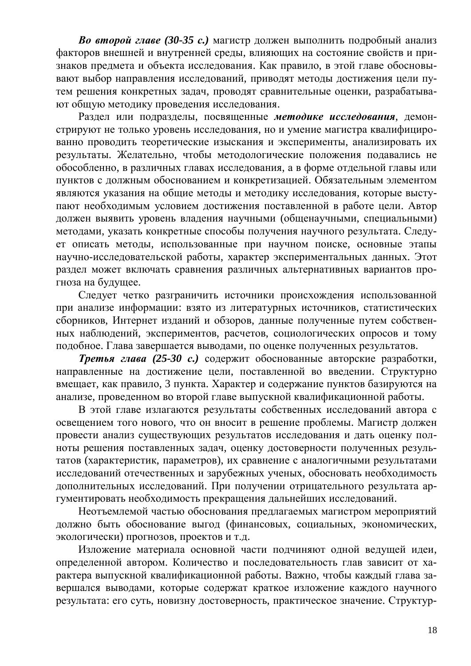**Во второй главе (30-35 с.)** магистр должен выполнить подробный анализ факторов внешней и внутренней среды, влияющих на состояние свойств и признаков предмета и объекта исследования. Как правило, в этой главе обосновывают выбор направления исследований, приводят методы достижения цели путем решения конкретных задач, проводят сравнительные оценки, разрабатывают общую методику проведения исследования.

Раздел или подразделы, посвященные методике исследования, демонстрируют не только уровень исследования, но и умение магистра квалифицированно проводить теоретические изыскания и эксперименты, анализировать их результаты. Желательно, чтобы методологические положения подавались не обособленно, в различных главах исследования, а в форме отдельной главы или пунктов с должным обоснованием и конкретизацией. Обязательным элементом являются указания на общие методы и методику исследования, которые выступают необходимым условием достижения поставленной в работе цели. Автор должен выявить уровень владения научными (общенаучными, специальными) методами, указать конкретные способы получения научного результата. Следует описать методы, использованные при научном поиске, основные этапы научно-исследовательской работы, характер экспериментальных данных. Этот раздел может включать сравнения различных альтернативных вариантов прогноза на будущее.

Следует четко разграничить источники происхождения использованной при анализе информации: взято из литературных источников, статистических сборников, Интернет изданий и обзоров, данные полученные путем собственных наблюдений, экспериментов, расчетов, социологических опросов и тому подобное. Глава завершается выводами, по оценке полученных результатов.

**Третья глава (25-30 с.)** содержит обоснованные авторские разработки, направленные на достижение цели, поставленной во введении. Структурно вмещает, как правило, 3 пункта. Характер и содержание пунктов базируются на анализе, проведенном во второй главе выпускной квалификационной работы.

В этой главе излагаются результаты собственных исследований автора с освещением того нового, что он вносит в решение проблемы. Магистр должен провести анализ существующих результатов исследования и дать оценку полноты решения поставленных задач, оценку достоверности полученных результатов (характеристик, параметров), их сравнение с аналогичными результатами исследований отечественных и зарубежных ученых, обосновать необходимость дополнительных исследований. При получении отрицательного результата аргументировать необходимость прекращения дальнейших исследований.

Неотъемлемой частью обоснования предлагаемых магистром мероприятий должно быть обоснование выгод (финансовых, социальных, экономических, экологически) прогнозов, проектов и т.д.

Изложение материала основной части подчиняют одной ведущей идеи, определенной автором. Количество и последовательность глав зависит от характера выпускной квалификационной работы. Важно, чтобы каждый глава завершался выводами, которые содержат краткое изложение каждого научного результата: его суть, новизну достоверность, практическое значение. Структур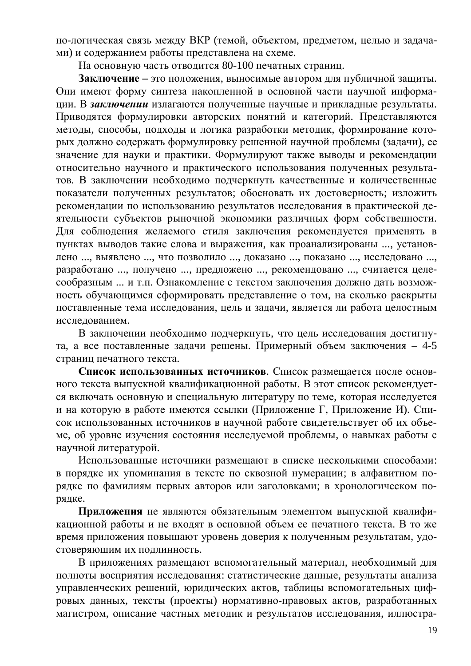но-логическая связь между ВКР (темой, объектом, предметом, целью и задачами) и содержанием работы представлена на схеме.

На основную часть отводится 80-100 печатных страниц.

Заключение – это положения, выносимые автором для публичной защиты. Они имеют форму синтеза накопленной в основной части научной информации. В заключении излагаются полученные научные и прикладные результаты. Приводятся формулировки авторских понятий и категорий. Представляются методы, способы, подходы и логика разработки методик, формирование которых должно содержать формулировку решенной научной проблемы (задачи), ее значение для науки и практики. Формулируют также выводы и рекомендации относительно научного и практического использования полученных результатов. В заключении необходимо подчеркнуть качественные и количественные показатели полученных результатов; обосновать их достоверность; изложить рекомендации по использованию результатов исследования в практической деятельности субъектов рыночной экономики различных форм собственности. Для соблюдения желаемого стиля заключения рекомендуется применять в пунктах выводов такие слова и выражения, как проанализированы ..., установлено ..., выявлено ..., что позволило ..., доказано ..., показано ..., исследовано ..., разработано ..., получено ..., предложено ..., рекомендовано ..., считается целесообразным ... и т.п. Ознакомление с текстом заключения должно дать возможность обучающимся сформировать представление о том, на сколько раскрыты поставленные тема исследования, цель и задачи, является ли работа целостным исследованием.

В заключении необходимо подчеркнуть, что цель исследования достигнута, а все поставленные задачи решены. Примерный объем заключения – 4-5 страниц печатного текста.

Список использованных источников. Список размещается после основного текста выпускной квалификационной работы. В этот список рекомендуется включать основную и специальную литературу по теме, которая исследуется и на которую в работе имеются ссылки (Приложение Г, Приложение И). Список использованных источников в научной работе свидетельствует об их объеме, об уровне изучения состояния исследуемой проблемы, о навыках работы с научной литературой.

Использованные источники размещают в списке несколькими способами: в порядке их упоминания в тексте по сквозной нумерации; в алфавитном порядке по фамилиям первых авторов или заголовками; в хронологическом порядке.

Приложения не являются обязательным элементом выпускной квалификационной работы и не входят в основной объем ее печатного текста. В то же время приложения повышают уровень доверия к полученным результатам, удостоверяющим их подлинность.

В приложениях размещают вспомогательный материал, необходимый для полноты восприятия исследования: статистические данные, результаты анализа управленческих решений, юридических актов, таблицы вспомогательных цифровых данных, тексты (проекты) нормативно-правовых актов, разработанных магистром, описание частных методик и результатов исследования, иллюстра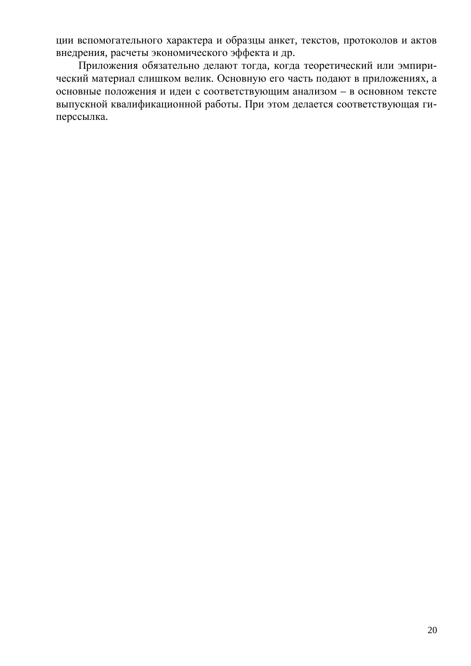ции вспомогательного характера и образцы анкет, текстов, протоколов и актов внедрения, расчеты экономического эффекта и др.

Приложения обязательно делают тогда, когда теоретический или эмпирический материал слишком велик. Основную его часть подают в приложениях, а основные положения и идеи с соответствующим анализом – в основном тексте выпускной квалификационной работы. При этом делается соответствующая гиперссылка.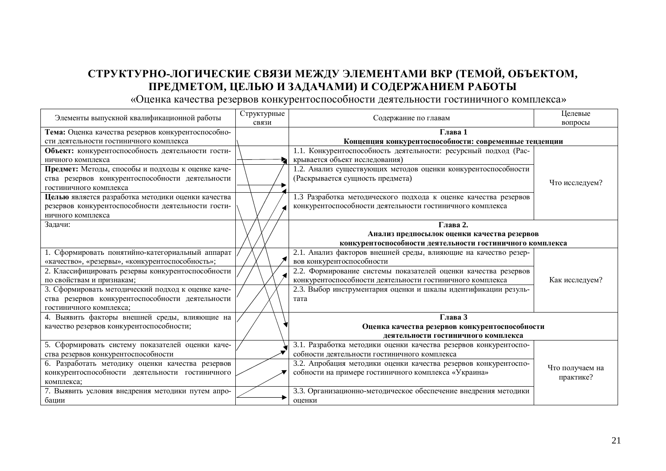# **ɋɌɊɍɄɌɍɊɇɈɅɈȽɂɑȿɋɄɂȿɋȼəɁɂɆȿɀȾɍɗɅȿɆȿɇɌȺɆɂȼɄɊ (ɌȿɆɈɃ, ɈȻɔȿɄɌɈɆ,** ПРЕДМЕТОМ, ЦЕЛЬЮ И ЗАДАЧАМИ) И СОДЕРЖАНИЕМ РАБОТЫ

«Оценка качества резервов конкурентоспособности деятельности гостиничного комплекса»

| Элементы выпускной квалификационной работы         | Структурные | Содержание по главам                                             | Целевые         |
|----------------------------------------------------|-------------|------------------------------------------------------------------|-----------------|
|                                                    | связи       |                                                                  | вопросы         |
| Тема: Оценка качества резервов конкурентоспособно- |             | Глава 1                                                          |                 |
| сти деятельности гостиничного комплекса            |             | Концепция конкурентоспособности: современные тенденции           |                 |
| Объект: конкурентоспособность деятельности гости-  |             | 1.1. Конкурентоспособность деятельности: ресурсный подход (Рас-  |                 |
| ничного комплекса                                  |             | крывается объект исследования)                                   |                 |
| Предмет: Методы, способы и подходы к оценке каче-  |             | 1.2. Анализ существующих методов оценки конкурентоспособности    |                 |
| ства резервов конкурентоспособности деятельности   |             | (Раскрывается сущность предмета)                                 | Что исследуем?  |
| гостиничного комплекса                             |             |                                                                  |                 |
| Целью является разработка методики оценки качества |             | 1.3 Разработка методического подхода к оценке качества резервов  |                 |
| резервов конкурентоспособности деятельности гости- |             | конкурентоспособности деятельности гостиничного комплекса        |                 |
| ничного комплекса                                  |             |                                                                  |                 |
| Задачи:                                            |             | Глава 2.                                                         |                 |
|                                                    |             | Анализ предпосылок оценки качества резервов                      |                 |
|                                                    |             | конкурентоспособности деятельности гостиничного комплекса        |                 |
| 1. Сформировать понятийно-категориальный аппарат   |             | 2.1. Анализ факторов внешней среды, влияющие на качество резер-  |                 |
| «качество», «резервы», «конкурентоспособность»;    |             | вов конкурентоспособности                                        |                 |
| 2. Классифицировать резервы конкурентоспособности  |             | 2.2. Формирование системы показателей оценки качества резервов   |                 |
| по свойствам и признакам;                          |             | конкурентоспособности деятельности гостиничного комплекса        | Как исследуем?  |
| 3. Сформировать методический подход к оценке каче- |             | 2.3. Выбор инструментария оценки и шкалы идентификации резуль-   |                 |
| ства резервов конкурентоспособности деятельности   |             | тата                                                             |                 |
| гостиничного комплекса;                            |             |                                                                  |                 |
| 4. Выявить факторы внешней среды, влияющие на      |             | Глава 3                                                          |                 |
| качество резервов конкурентоспособности;           |             | Оценка качества резервов конкурентоспособности                   |                 |
|                                                    |             | деятельности гостиничного комплекса                              |                 |
| 5. Сформировать систему показателей оценки каче-   |             | 3.1. Разработка методики оценки качества резервов конкурентоспо- |                 |
| ства резервов конкурентоспособности                |             | собности деятельности гостиничного комплекса                     |                 |
| 6. Разработать методику оценки качества резервов   |             | 3.2. Апробация методики оценки качества резервов конкурентоспо-  | Что получаем на |
| конкурентоспособности деятельности гостиничного    |             | собности на примере гостиничного комплекса «Украина»             | практике?       |
| комплекса;                                         |             |                                                                  |                 |
| 7. Выявить условия внедрения методики путем апро-  |             | 3.3. Организационно-методическое обеспечение внедрения методики  |                 |
| бации                                              |             | оценки                                                           |                 |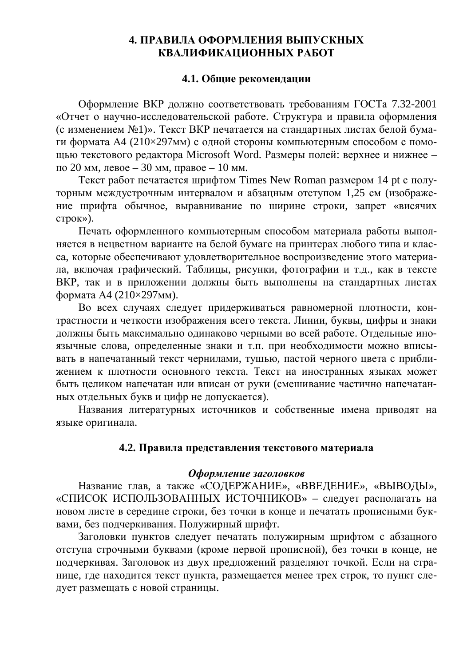### <span id="page-21-0"></span>**4. ПРАВИЛА ОФОРМЛЕНИЯ ВЫПУСКНЫХ** КВАЛИФИКАШИОННЫХ РАБОТ

### <span id="page-21-1"></span>4.1. Общие рекомендации

Оформление ВКР должно соответствовать требованиям ГОСТа 7.32-2001 «Отчет о научно-исследовательской работе. Структура и правила оформления (с изменением №1)». Текст ВКР печатается на стандартных листах белой бумаги формата А4 (210×297мм) с одной стороны компьютерным способом с помощью текстового редактора Microsoft Word. Размеры полей: верхнее и нижнее – по 20 мм, левое – 30 мм, правое – 10 мм.

Текст работ печатается шрифтом Times New Roman размером 14 pt с полуторным междустрочным интервалом и абзацным отступом 1,25 см (изображение шрифта обычное, выравнивание по ширине строки, запрет «висячих  $c$ трок»).

Печать оформленного компьютерным способом материала работы выполняется в нецветном варианте на белой бумаге на принтерах любого типа и класса, которые обеспечивают удовлетворительное воспроизведение этого материала, включая графический. Таблицы, рисунки, фотографии и т.д., как в тексте ВКР, так и в приложении должны быть выполнены на стандартных листах формата А4 (210×297мм).

Во всех случаях следует придерживаться равномерной плотности, контрастности и четкости изображения всего текста. Линии, буквы, цифры и знаки должны быть максимально одинаково черными во всей работе. Отдельные иноязычные слова, определенные знаки и т.п. при необходимости можно вписывать в напечатанный текст чернилами, тушью, пастой черного цвета с приближением к плотности основного текста. Текст на иностранных языках может быть целиком напечатан или вписан от руки (смешивание частично напечатанных отдельных букв и цифр не допускается).

Названия литературных источников и собственные имена приводят на языке оригинала.

### <span id="page-21-2"></span>4.2. Правила представления текстового материала

### **Оформление заголовков**

Название глав, а также «СОДЕРЖАНИЕ», «ВВЕДЕНИЕ», «ВЫВОДЫ», «СПИСОК ИСПОЛЬЗОВАННЫХ ИСТОЧНИКОВ» – следует располагать на новом листе в середине строки, без точки в конце и печатать прописными буквами, без подчеркивания. Полужирный шрифт.

Заголовки пунктов следует печатать полужирным шрифтом с абзацного отступа строчными буквами (кроме первой прописной), без точки в конце, не подчеркивая. Заголовок из двух предложений разделяют точкой. Если на странице, где находится текст пункта, размещается менее трех строк, то пункт следует размещать с новой страницы.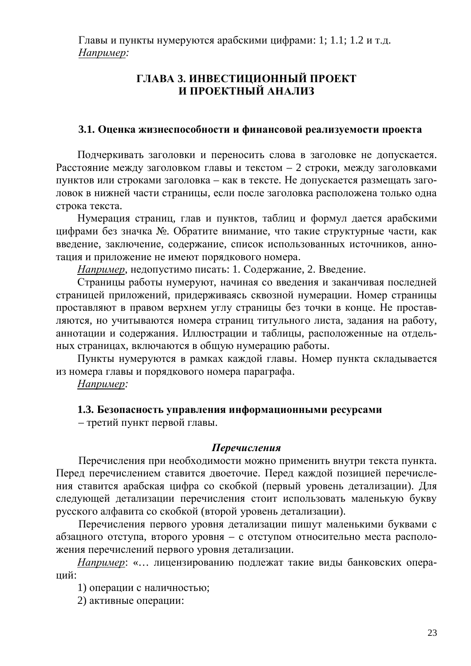Главы и пункты нумеруются арабскими цифрами: 1; 1.1; 1.2 и т.д. Hanp<u>uмep</u>:

# **ГЛАВА 3. ИНВЕСТИЦИОННЫЙ ПРОЕКТ И ПРОЕКТНЫЙ АНАЛИЗ**

### 3.1. Оценка жизнеспособности и финансовой реализуемости проекта

Подчеркивать заголовки и переносить слова в заголовке не допускается. Расстояние между заголовком главы и текстом – 2 строки, между заголовками пунктов или строками заголовка – как в тексте. Не допускается размещать заголовок в нижней части страницы, если после заголовка расположена только одна строка текста.

Нумерация страниц, глав и пунктов, таблиц и формул дается арабскими цифрами без значка № Обратите внимание, что такие структурные части, как введение, заключение, содержание, список использованных источников, аннотация и приложение не имеют порядкового номера.

*Например*, недопустимо писать: 1. Содержание, 2. Введение.

Страницы работы нумеруют, начиная со введения и заканчивая последней страницей приложений, придерживаясь сквозной нумерации. Номер страницы проставляют в правом верхнем углу страницы без точки в конце. Не проставляются, но учитываются номера страниц титульного листа, задания на работу, аннотации и содержания. Иллюстрации и таблицы, расположенные на отдельных страницах, включаются в общую нумерацию работы.

Пункты нумеруются в рамках каждой главы. Номер пункта складывается из номера главы и порядкового номера параграфа.

Например:

### 1.3. Безопасность управления информационными ресурсами

- третий пункт первой главы.

### *ɉɟɪɟɱɢɫɥɟɧɢɹ*

Перечисления при необходимости можно применить внутри текста пункта. Перед перечислением ставится двоеточие. Перед каждой позицией перечисления ставится арабская цифра со скобкой (первый уровень детализации). Для следующей детализации перечисления стоит использовать маленькую букву русского алфавита со скобкой (второй уровень детализации).

Перечисления первого уровня детализации пишут маленькими буквами с абзацного отступа, второго уровня – с отступом относительно места расположения перечислений первого уровня детализации.

*Например*: «... лицензированию подлежат такие виды банковских операций:

1) операции с наличностью;

2) активные операции: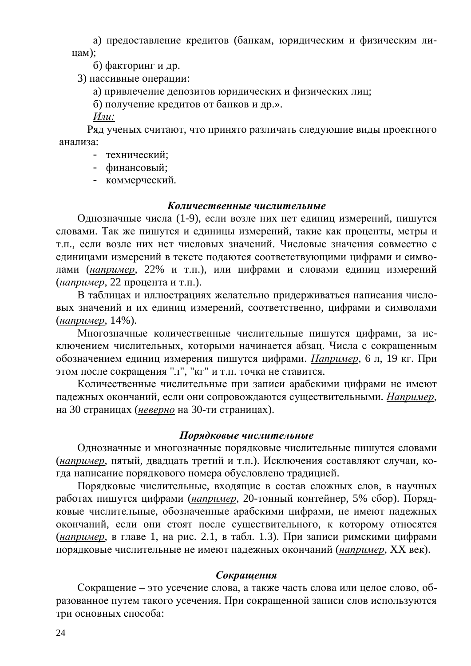а) предоставление кредитов (банкам, юридическим и физическим ли- $\text{llam}$ ):

б) факторинг и др.

3) пассивные операции:

а) привлечение депозитов юридических и физических лиц;

б) получение кредитов от банков и др.».

*Или:* 

Ряд ученых считают, что принято различать следующие виды проектного анализа:

- технический:
- финансовый;
- коммерческий.

### *Ʉɨɥɢɱɟɫɬɜɟɧɧɵɟɱɢɫɥɢɬɟɥɶɧɵɟ*

Однозначные числа (1-9), если возле них нет единиц измерений, пишутся словами. Так же пишутся и единицы измерений, такие как проценты, метры и т.п., если возле них нет числовых значений. Числовые значения совместно с единицами измерений в тексте подаются соответствующими цифрами и симводами (например, 22% и т.п.), или цифрами и словами единиц измерений (*например*, 22 процента и т.п.).

В таблицах и иллюстрациях желательно придерживаться написания числовых значений и их единиц измерений, соответственно, цифрами и символами (*например*, 14%).

Многозначные количественные числительные пишутся цифрами, за исключением числительных, которыми начинается абзац. Числа с сокращенным обозначением единиц измерения пишутся цифрами. *Например*, 6 л, 19 кг. При этом после сокращения "л", "кг" и т.п. точка не ставится.

Количественные числительные при записи арабскими цифрами не имеют падежных окончаний, если они сопровождаются существительными. Например, на 30 страницах (неверно на 30-ти страницах).

### Порядковые числительные

Однозначные и многозначные порядковые числительные пишутся словами (*например*, пятый, двадцать третий и т.п.). Исключения составляют случаи, когда написание порядкового номера обусловлено традицией.

Порядковые числительные, входящие в состав сложных слов, в научных работах пишутся цифрами (*например*, 20-тонный контейнер, 5% сбор). Порядковые числительные, обозначенные арабскими цифрами, не имеют падежных окончаний, если они стоят после существительного, к которому относятся (*например*, в главе 1, на рис. 2.1, в табл. 1.3). При записи римскими цифрами порядковые числительные не имеют падежных окончаний (*например*, XX век).

### $Co$ *крашения*

Сокращение – это усечение слова, а также часть слова или целое слово, образованное путем такого усечения. При сокращенной записи слов используются три основных способа: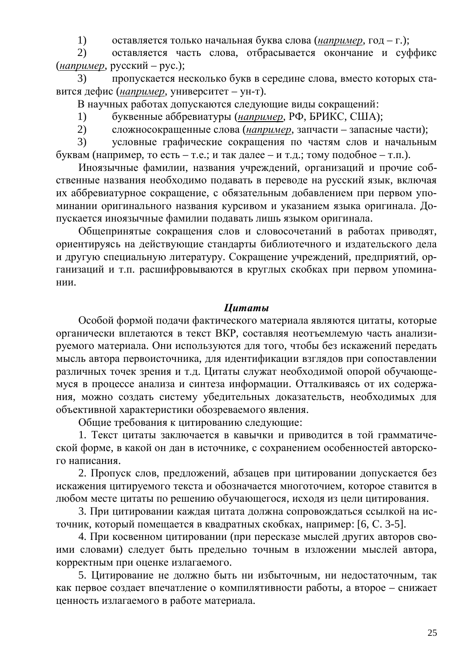1) оставляется только начальная буква слова (*например*, год – г.);

2) оставляется часть слова, отбрасывается окончание и суффикс (*например*, русский – рус.);

3) пропускается несколько букв в середине слова, вместо которых ставится дефис (*например*, университет – ун-т).

В научных работах допускаются следующие виды сокращений:

1) буквенные аббревиатуры (*например*, РФ, БРИКС, США);

2) сложносокращенные слова (*например*, запчасти – запасные части);

3) УСЛОВНЫЕ ГРАФИЧЕСКИЕ СОКРАЩЕНИЯ ПО ЧАСТЯМ СЛОВ И НАЧАЛЬНЫМ буквам (например, то есть – т.е.; и так далее – и т.д.; тому подобное – т.п.).

Иноязычные фамилии, названия учреждений, организаций и прочие собственные названия необходимо подавать в переводе на русский язык, включая их аббревиатурное сокращение, с обязательным добавлением при первом упоминании оригинального названия курсивом и указанием языка оригинала. Допускается иноязычные фамилии подавать лишь языком оригинала.

Общепринятые сокращения слов и словосочетаний в работах приводят, ориентируясь на действующие стандарты библиотечного и издательского дела и другую специальную литературу. Сокращение учреждений, предприятий, организаций и т.п. расшифровываются в круглых скобках при первом упоминании.

## *<u>Иитаты</u>*

Особой формой подачи фактического материала являются цитаты, которые органически вплетаются в текст ВКР, составляя неотъемлемую часть анализируемого материала. Они используются для того, чтобы без искажений передать мысль автора первоисточника, для идентификации взглядов при сопоставлении различных точек зрения и т.д. Цитаты служат необходимой опорой обучающемуся в процессе анализа и синтеза информации. Отталкиваясь от их содержания, можно создать систему убедительных доказательств, необходимых для объективной характеристики обозреваемого явления.

Общие требования к цитированию следующие:

1. Текст цитаты заключается в кавычки и приводится в той грамматической форме, в какой он дан в источнике, с сохранением особенностей авторского написания.

2. Пропуск слов, предложений, абзацев при цитировании допускается без искажения цитируемого текста и обозначается многоточием, которое ставится в любом месте цитаты по решению обучающегося, исходя из цели цитирования.

3. При цитировании каждая цитата должна сопровождаться ссылкой на источник, который помещается в квадратных скобках, например: [6, С. 3-5].

4. При косвенном цитировании (при пересказе мыслей других авторов своими словами) следует быть предельно точным в изложении мыслей автора, корректным при оценке излагаемого.

5. Цитирование не должно быть ни избыточным, ни недостаточным, так как первое создает впечатление о компилятивности работы, а второе – снижает ценность излагаемого в работе материала.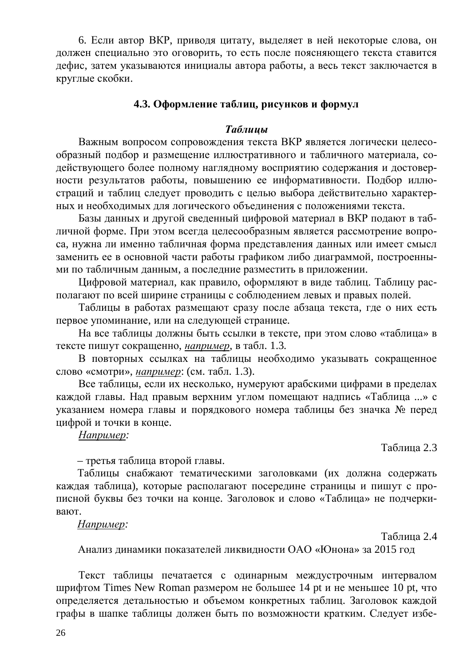6. Если автор ВКР, приводя цитату, выделяет в ней некоторые слова, он должен специально это оговорить, то есть после поясняющего текста ставится дефис, затем указываются инициалы автора работы, а весь текст заключается в круглые скобки.

# <span id="page-25-0"></span>4.3. Оформление таблиц, рисунков и формул

### **Таблииы**

Важным вопросом сопровождения текста ВКР является логически целесообразный подбор и размещение иллюстративного и табличного материала, содействующего более полному наглядному восприятию содержания и достоверности результатов работы, повышению ее информативности. Подбор иллюстраций и таблиц следует проводить с целью выбора действительно характерных и необходимых для логического объединения с положениями текста.

Базы данных и другой сведенный цифровой материал в ВКР подают в табличной форме. При этом всегда целесообразным является рассмотрение вопроса, нужна ли именно табличная форма представления данных или имеет смысл заменить ее в основной части работы графиком либо диаграммой, построенными по табличным данным, а последние разместить в приложении.

Цифровой материал, как правило, оформляют в виде таблиц. Таблицу располагают по всей ширине страницы с соблюдением левых и правых полей.

Таблицы в работах размещают сразу после абзаца текста, где о них есть первое упоминание, или на следующей странице.

На все таблицы должны быть ссылки в тексте, при этом слово «таблица» в тексте пишут сокращенно, например, в табл. 1.3.

В повторных ссылках на таблицы необходимо указывать сокращенное слово «смотри», *например*: (см. табл. 1.3).

Все таблицы, если их несколько, нумеруют арабскими цифрами в пределах каждой главы. Над правым верхним углом помещают надпись «Таблица ...» с указанием номера главы и порядкового номера таблицы без значка № перед цифрой и точки в конце.

### *ɇɚɩɪɢɦɟɪ:*

Таблица 2.3

- третья таблица второй главы.

Таблицы снабжают тематическими заголовками (их должна содержать каждая таблица), которые располагают посередине страницы и пишут с прописной буквы без точки на конце. Заголовок и слово «Таблица» не подчеркивают.

### *Например:*

Таблица 2.4

Анализ динамики показателей ликвидности ОАО «Юнона» за 2015 год

Текст таблицы печатается с одинарным междустрочным интервалом шрифтом Times New Roman размером не большее 14 pt и не меньшее 10 pt, что определяется детальностью и объемом конкретных таблиц. Заголовок каждой графы в шапке таблицы должен быть по возможности кратким. Следует избе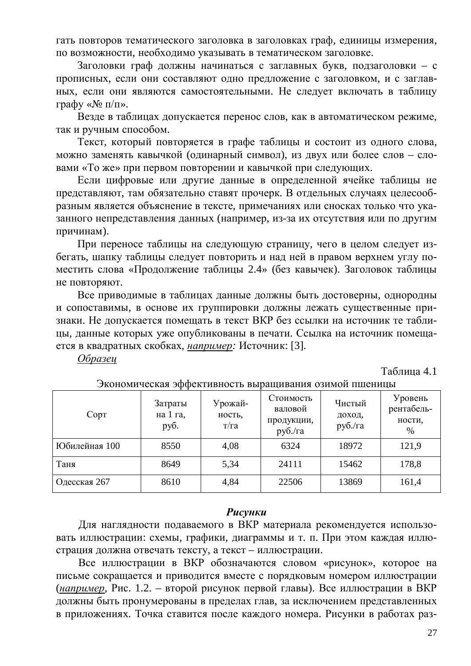гать повторов тематического заголовка в заголовках граф, единицы измерения, по возможности, необходимо указывать в тематическом заголовке.

Заголовки граф должны начинаться с заглавных букв, подзаголовки – с прописных, если они составляют одно предложение с заголовком, и с заглавных, если они являются самостоятельными. Не следует включать в таблицу графу « $\mathcal{N}$ <sup>o</sup> п/п».

Везде в таблицах допускается перенос слов, как в автоматическом режиме, так и ручным способом.

Текст, который повторяется в графе таблицы и состоит из одного слова, можно заменять кавычкой (одинарный символ), из двух или более слов - словами «То же» при первом повторении и кавычкой при следующих.

Если цифровые или другие данные в определенной ячейке таблицы не представляют, там обязательно ставят прочерк. В отдельных случаях целесообразным является объяснение в тексте, примечаниях или сносках только что указанного непредставления данных (например, из-за их отсутствия или по другим причинам).

При переносе таблицы на следующую страницу, чего в целом следует избегать, шапку таблицы следует повторить и над ней в правом верхнем углу поместить слова «Продолжение таблицы 2.4» (без кавычек). Заголовок таблицы не повторяют.

Все приводимые в таблицах данные должны быть достоверны, однородны и сопоставимы, в основе их группировки должны лежать существенные признаки. Не допускается помещать в текст ВКР без ссылки на источник те таблицы, данные которых уже опубликованы в печати. Ссылка на источник помещается в квадратных скобках, например: Источник: [3].

**Образеи** 

Таблица 4.1

| Copt          | Затраты<br>на 1 га,<br>руб. | Урожай-<br>ность,<br>T/Ta | Стоимость<br>валовой<br>продукции,<br>руб./га | Чистый<br>доход,<br>руб./га | Уровень<br>рентабель-<br>ности,<br>$\%$ |
|---------------|-----------------------------|---------------------------|-----------------------------------------------|-----------------------------|-----------------------------------------|
| Юбилейная 100 | 8550                        | 4,08                      | 6324                                          | 18972                       | 121,9                                   |
| Таня          | 8649                        | 5,34                      | 24111                                         | 15462                       | 178,8                                   |
| Одесская 267  | 8610                        | 4,84                      | 22506                                         | 13869                       | 161,4                                   |

Экономическая эффективность выращивания озимой пшеницы

### **Рисунки**

Для наглядности подаваемого в ВКР материала рекомендуется использовать иллюстрации: схемы, графики, диаграммы и т. п. При этом каждая иллюстрация должна отвечать тексту, а текст – иллюстрации.

Все иллюстрации в ВКР обозначаются словом «рисунок», которое на письме сокращается и приводится вместе с порядковым номером иллюстрации (*например*, Рис. 1.2. – второй рисунок первой главы). Все иллюстрации в ВКР должны быть пронумерованы в пределах глав, за исключением представленных в приложениях. Точка ставится после каждого номера. Рисунки в работах раз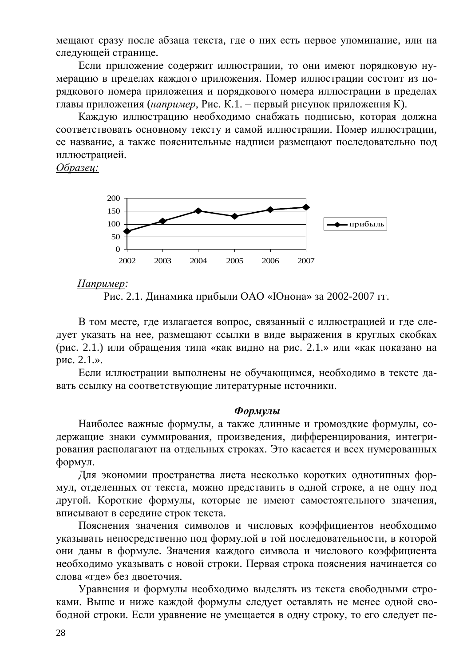мещают сразу после абзаца текста, где о них есть первое упоминание, или на следующей странице.

Если приложение содержит иллюстрации, то они имеют порядковую нумерацию в пределах каждого приложения. Номер иллюстрации состоит из порядкового номера приложения и порядкового номера иллюстрации в пределах главы приложения (*например*, Рис. К.1. – первый рисунок приложения К).

Каждую иллюстрацию необходимо снабжать подписью, которая должна соответствовать основному тексту и самой иллюстрации. Номер иллюстрации, ее название, а также пояснительные надписи размещают последовательно под иллюстрацией.

*Образец:* 



### *Например:*

В том месте, где излагается вопрос, связанный с иллюстрацией и где следует указать на нее, размещают ссылки в виде выражения в круглых скобках (рис. 2.1.) или обращения типа «как видно на рис. 2.1.» или «как показано на рис.  $2.1.$ ».

Если иллюстрации выполнены не обучающимся, необходимо в тексте давать ссылку на соответствующие литературные источники.

### $\Phi$ <sub>*ODMVJbl*</sub>

Наиболее важные формулы, а также длинные и громоздкие формулы, содержащие знаки суммирования, произведения, дифференцирования, интегрирования располагают на отдельных строках. Это касается и всех нумерованных формул.

Для экономии пространства листа несколько коротких однотипных формул, отделенных от текста, можно представить в одной строке, а не одну под другой. Короткие формулы, которые не имеют самостоятельного значения, вписывают в середине строк текста.

Пояснения значения символов и числовых коэффициентов необходимо указывать непосредственно под формулой в той последовательности, в которой они даны в формуле. Значения каждого символа и числового коэффициента необходимо указывать с новой строки. Первая строка пояснения начинается со слова «где» без двоеточия.

Уравнения и формулы необходимо выделять из текста свободными строками. Выше и ниже каждой формулы следует оставлять не менее одной свободной строки. Если уравнение не умещается в одну строку, то его следует пе-

Рис. 2.1. Динамика прибыли ОАО «Юнона» за 2002-2007 гг.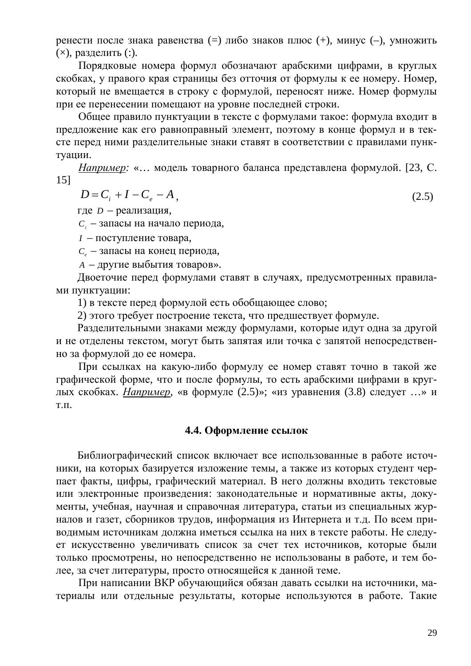ренести после знака равенства (=) либо знаков плюс (+), минус (-), умножить  $(\times)$ , разделить  $(:).$ 

Порядковые номера формул обозначают арабскими цифрами, в круглых скобках, у правого края страницы без отточия от формулы к ее номеру. Номер, который не вмещается в строку с формулой, переносят ниже. Номер формулы при ее перенесении помещают на уровне последней строки.

Общее правило пунктуации в тексте с формулами такое: формула входит в предложение как его равноправный элемент, поэтому в конце формул и в тексте перед ними разделительные знаки ставят в соответствии с правилами пунктуации.

*Например*: «... модель товарного баланса представлена формулой. [23, С. 15]

$$
D = C_i + I - C_e - A,
$$
\n
$$
(2.5)
$$

где *D* – реализация,

 $C_i$  – запасы на начало периода,

*I* – поступление товара,

 $C_e$  – запасы на конец периода,

*A* – другие выбытия товаров».

Двоеточие перед формулами ставят в случаях, предусмотренных правилами пунктуации:

1) в тексте перед формулой есть обобщающее слово;

2) этого требует построение текста, что предшествует формуле.

Разделительными знаками между формулами, которые идут одна за другой и не отделены текстом, могут быть запятая или точка с запятой непосредственно за формулой до ее номера.

При ссылках на какую-либо формулу ее номер ставят точно в такой же графической форме, что и после формулы, то есть арабскими цифрами в круглых скобках. *Например*, «в формуле (2.5)»; «из уравнения (3.8) следует ...» и T.Π.

# <span id="page-28-0"></span>**4.4. Оформление ссылок**

Библиографический список включает все использованные в работе источники, на которых базируется изложение темы, а также из которых студент черпает факты, цифры, графический материал. В него должны входить текстовые или электронные произведения: законодательные и нормативные акты, документы, учебная, научная и справочная литература, статьи из специальных журналов и газет, сборников трудов, информация из Интернета и т.д. По всем приводимым источникам должна иметься ссылка на них в тексте работы. Не следует искусственно увеличивать список за счет тех источников, которые были только просмотрены, но непосредственно не использованы в работе, и тем более, за счет литературы, просто относящейся к данной теме.

При написании ВКР обучающийся обязан давать ссылки на источники, материалы или отдельные результаты, которые используются в работе. Такие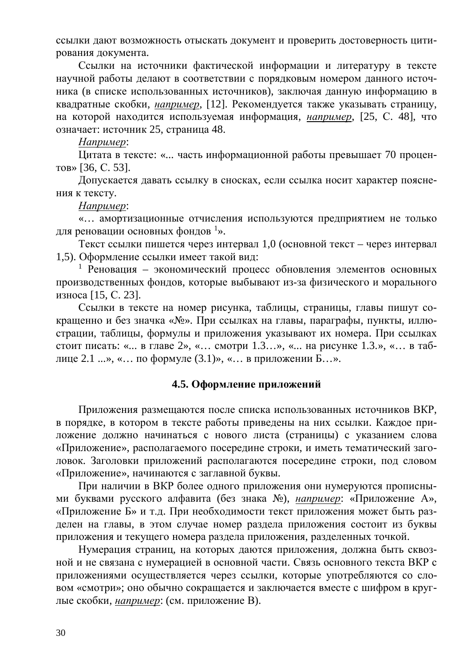ссылки дают возможность отыскать документ и проверить достоверность цитирования документа.

Ссылки на источники фактической информации и литературу в тексте научной работы делают в соответствии с порядковым номером данного источника (в списке использованных источников), заключая данную информацию в квадратные скобки, *например*, [12]. Рекомендуется также указывать страницу, на которой находится используемая информация, *например*, [25, С. 48], что означает: источник 25, страница 48.

Hanpимер:

Цитата в тексте: «... часть информационной работы превышает 70 процен- $TOB \gg [36, C. 53]$ .

Допускается давать ссылку в сносках, если ссылка носит характер пояснения к тексту.

*ɇɚɩɪɢɦɟɪ*:

«... амортизационные отчисления используются предприятием не только для реновации основных фондов<sup>1</sup>».

Текст ссылки пишется через интервал 1,0 (основной текст – через интервал 1,5). Оформление ссылки имеет такой вид:

1 Реновация - экономический процесс обновления элементов основных производственных фондов, которые выбывают из-за физического и морального износа [15, С. 23].

Ссылки в тексте на номер рисунка, таблицы, страницы, главы пишут сокращенно и без значка «№». При ссылках на главы, параграфы, пункты, иллюстрации, таблицы, формулы и приложения указывают их номера. При ссылках стоит писать: «... в главе  $2$ », «... смотри 1.3...», «... на рисунке 1.3.», «... в таблице 2.1 ...», «... по формуле  $(3.1)$ », «... в приложении Б...».

### <span id="page-29-0"></span>4.5. Оформление приложений

Приложения размещаются после списка использованных источников ВКР, в порядке, в котором в тексте работы приведены на них ссылки. Каждое приложение должно начинаться с нового листа (страницы) с указанием слова «Приложение», располагаемого посередине строки, и иметь тематический заголовок. Заголовки приложений располагаются посередине строки, под словом «Приложение», начинаются с заглавной буквы.

При наличии в ВКР более одного приложения они нумеруются прописными буквами русского алфавита (без знака №), *например*: «Приложение А», «Приложение Б» и т.д. При необходимости текст приложения может быть разделен на главы, в этом случае номер раздела приложения состоит из буквы приложения и текущего номера раздела приложения, разделенных точкой.

Нумерация страниц, на которых даются приложения, должна быть сквозной и не связана с нумерацией в основной части. Связь основного текста ВКР с приложениями осуществляется через ссылки, которые употребляются со словом «смотри»; оно обычно сокращается и заключается вместе с шифром в круглые скобки, *например*: (см. приложение В).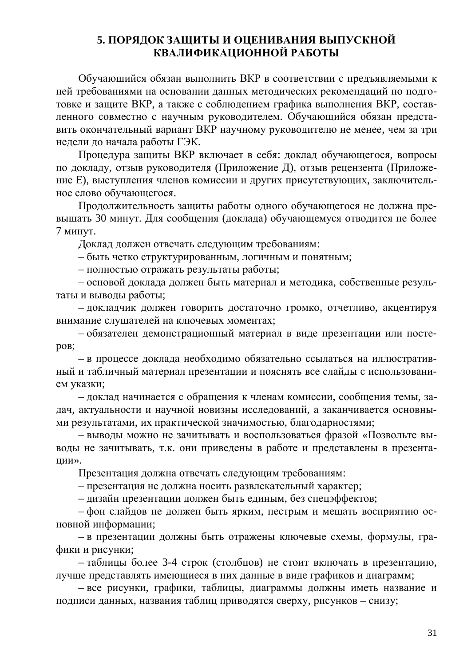# <span id="page-30-0"></span>5. ПОРЯДОК ЗАЩИТЫ И ОЦЕНИВАНИЯ ВЫПУСКНОЙ КВАЛИФИКАШИОННОЙ РАБОТЫ

Обучающийся обязан выполнить ВКР в соответствии с предъявляемыми к ней требованиями на основании данных методических рекомендаций по подготовке и защите ВКР, а также с соблюдением графика выполнения ВКР, составленного совместно с научным руководителем. Обучающийся обязан представить окончательный вариант ВКР научному руководителю не менее, чем за три недели до начала работы ГЭК.

Процедура защиты ВКР включает в себя: доклад обучающегося, вопросы по докладу, отзыв руководителя (Приложение Д), отзыв рецензента (Приложение Е), выступления членов комиссии и других присутствующих, заключительное слово обучающегося.

Продолжительность защиты работы одного обучающегося не должна превышать 30 минут. Для сообщения (доклада) обучающемуся отводится не более 7 минут.

Доклад должен отвечать следующим требованиям:

- быть четко структурированным, логичным и понятным;

– полностью отражать результаты работы;

– основой доклада должен быть материал и методика, собственные результаты и выводы работы;

- докладчик должен говорить достаточно громко, отчетливо, акцентируя внимание слушателей на ключевых моментах;

- обязателен демонстрационный материал в виде презентации или постеpo<sub>B</sub>;

- в процессе доклада необходимо обязательно ссылаться на иллюстративный и табличный материал презентации и пояснять все слайды с использованием указки;

– доклад начинается с обращения к членам комиссии, сообщения темы, задач, актуальности и научной новизны исследований, а заканчивается основными результатами, их практической значимостью, благодарностями;

– выводы можно не зачитывать и воспользоваться фразой «Позвольте выводы не зачитывать, т.к. они приведены в работе и представлены в презентаɰɢɢ».

Презентация должна отвечать следующим требованиям:

– презентация не должна носить развлекательный характер;

– дизайн презентации должен быть единым, без спецэффектов;

– фон слайдов не должен быть ярким, пестрым и мешать восприятию основной информации;

– в презентации должны быть отражены ключевые схемы, формулы, графики и рисунки:

– таблицы более 3-4 строк (столбцов) не стоит включать в презентацию, лучше представлять имеющиеся в них данные в виде графиков и диаграмм;

– все рисунки, графики, таблицы, диаграммы должны иметь название и подписи данных, названия таблиц приводятся сверху, рисунков – снизу;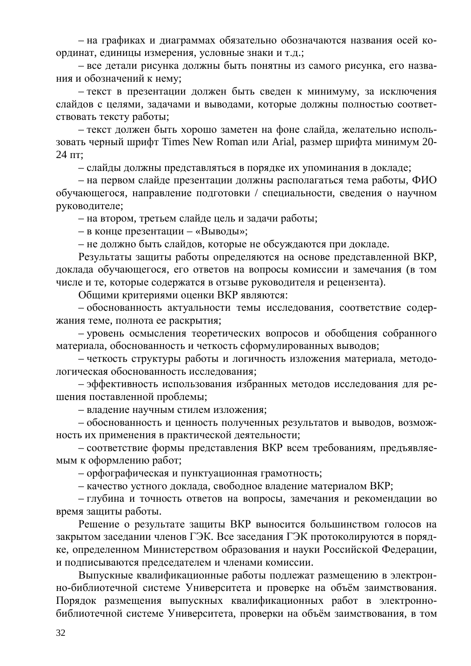– на графиках и диаграммах обязательно обозначаются названия осей координат, единицы измерения, условные знаки и т.д.;

– все детали рисунка должны быть понятны из самого рисунка, его названия и обозначений к нему;

– текст в презентации должен быть сведен к минимуму, за исключения слайдов с целями, задачами и выводами, которые должны полностью соответствовать тексту работы;

– текст должен быть хорошо заметен на фоне слайда, желательно использовать черный шрифт Times New Roman или Arial, размер шрифта минимум 20-24 пт:

- слайды должны представляться в порядке их упоминания в докладе;

– на первом слайде презентации должны располагаться тема работы, ФИО обучающегося, направление подготовки / специальности, сведения о научном руководителе;

– на втором, третьем слайде цель и задачи работы;

– в конце презентации – «Выводы»;

– не должно быть слайдов, которые не обсуждаются при докладе.

Результаты защиты работы определяются на основе представленной ВКР, доклада обучающегося, его ответов на вопросы комиссии и замечания (в том числе и те, которые содержатся в отзыве руководителя и рецензента).

Общими критериями оценки ВКР являются:

- обоснованность актуальности темы исследования, соответствие содержания теме, полнота ее раскрытия;

– уровень осмысления теоретических вопросов и обобщения собранного материала, обоснованность и четкость сформулированных выводов;

– четкость структуры работы и логичность изложения материала, методологическая обоснованность исследования;

– эффективность использования избранных методов исследования для решения поставленной проблемы;

– владение научным стилем изложения;

- обоснованность и ценность полученных результатов и выводов, возможность их применения в практической деятельности;

– соответствие формы представления ВКР всем требованиям, предъявляемым к оформлению работ;

- орфографическая и пунктуационная грамотность;

– качество устного доклада, свободное владение материалом ВКР;

– глубина и точность ответов на вопросы, замечания и рекомендации во время защиты работы.

Решение о результате защиты ВКР выносится большинством голосов на закрытом заседании членов ГЭК. Все заседания ГЭК протоколируются в порядке, определенном Министерством образования и науки Российской Федерации, и подписываются председателем и членами комиссии.

Выпускные квалификационные работы подлежат размещению в электронно-библиотечной системе Университета и проверке на объём заимствования. Порядок размещения выпускных квалификационных работ в электроннобиблиотечной системе Университета, проверки на объём заимствования, в том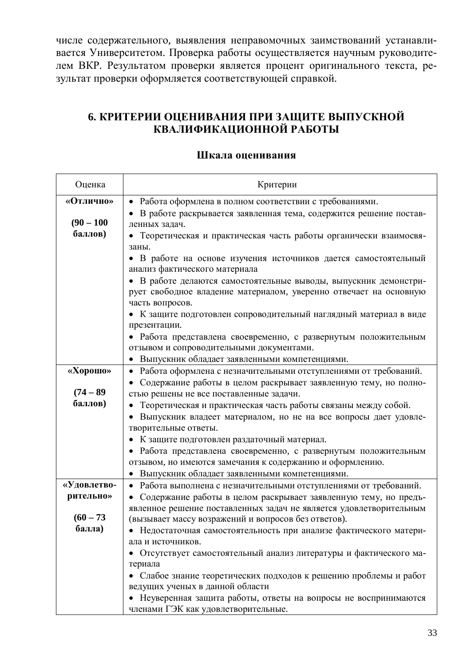числе содержательного, выявления неправомочных заимствований устанавливается Университетом. Проверка работы осуществляется научным руководителем ВКР. Результатом проверки является процент оригинального текста, результат проверки оформляется соответствующей справкой.

# <span id="page-32-0"></span>**6. КРИТЕРИИ ОЦЕНИВАНИЯ ПРИ ЗАЩИТЕ ВЫПУСКНОЙ** КВАЛИФИКАЦИОННОЙ РАБОТЫ

## Шкала опенивания

| Оценка       | Критерии                                                                                                                              |  |  |
|--------------|---------------------------------------------------------------------------------------------------------------------------------------|--|--|
| «Отлично»    | Работа оформлена в полном соответствии с требованиями.                                                                                |  |  |
|              | В работе раскрывается заявленная тема, содержится решение постав-                                                                     |  |  |
| $(90 - 100)$ | ленных задач.                                                                                                                         |  |  |
| баллов)      | Теоретическая и практическая часть работы органически взаимосвя-                                                                      |  |  |
|              | заны.                                                                                                                                 |  |  |
|              | • В работе на основе изучения источников дается самостоятельный                                                                       |  |  |
|              | анализ фактического материала                                                                                                         |  |  |
|              | В работе делаются самостоятельные выводы, выпускник демонстри-                                                                        |  |  |
|              | рует свободное владение материалом, уверенно отвечает на основную                                                                     |  |  |
|              | часть вопросов.                                                                                                                       |  |  |
|              | • К защите подготовлен сопроводительный наглядный материал в виде                                                                     |  |  |
|              | презентации.                                                                                                                          |  |  |
|              | • Работа представлена своевременно, с развернутым положительным                                                                       |  |  |
|              | отзывом и сопроводительными документами.                                                                                              |  |  |
| «Хорошо»     | Выпускник обладает заявленными компетенциями.                                                                                         |  |  |
|              | Работа оформлена с незначительными отступлениями от требований.                                                                       |  |  |
| $(74 - 89)$  | Содержание работы в целом раскрывает заявленную тему, но полно-                                                                       |  |  |
| баллов)      | стью решены не все поставленные задачи.                                                                                               |  |  |
|              | Теоретическая и практическая часть работы связаны между собой.                                                                        |  |  |
|              | Выпускник владеет материалом, но не на все вопросы дает удовле-                                                                       |  |  |
|              | творительные ответы.                                                                                                                  |  |  |
|              | К защите подготовлен раздаточный материал.                                                                                            |  |  |
|              | Работа представлена своевременно, с развернутым положительным<br>отзывом, но имеются замечания к содержанию и оформлению.             |  |  |
|              | Выпускник обладает заявленными компетенциями.                                                                                         |  |  |
| «Удовлетво-  |                                                                                                                                       |  |  |
| рительно»    | Работа выполнена с незначительными отступлениями от требований.                                                                       |  |  |
|              | Содержание работы в целом раскрывает заявленную тему, но предъ-<br>явленное решение поставленных задач не является удовлетворительным |  |  |
| $(60 - 73)$  | (вызывает массу возражений и вопросов без ответов).                                                                                   |  |  |
| балла)       | Недостаточная самостоятельность при анализе фактического матери-                                                                      |  |  |
|              | ала и источников.                                                                                                                     |  |  |
|              | Отсутствует самостоятельный анализ литературы и фактического ма-                                                                      |  |  |
|              | териала                                                                                                                               |  |  |
|              | Слабое знание теоретических подходов к решению проблемы и работ                                                                       |  |  |
|              | ведущих ученых в данной области                                                                                                       |  |  |
|              | Неуверенная защита работы, ответы на вопросы не воспринимаются                                                                        |  |  |
|              | членами ГЭК как удовлетворительные.                                                                                                   |  |  |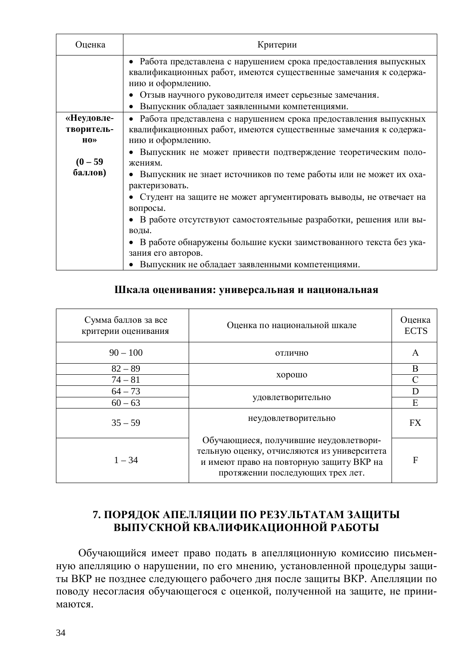| Оценка                                                        | Критерии                                                                                                                                                                                                                                                                                                                                                                                                                                                                                                                                                                                                                                            |  |  |
|---------------------------------------------------------------|-----------------------------------------------------------------------------------------------------------------------------------------------------------------------------------------------------------------------------------------------------------------------------------------------------------------------------------------------------------------------------------------------------------------------------------------------------------------------------------------------------------------------------------------------------------------------------------------------------------------------------------------------------|--|--|
|                                                               | • Работа представлена с нарушением срока предоставления выпускных<br>квалификационных работ, имеются существенные замечания к содержа-<br>нию и оформлению.<br>Отзыв научного руководителя имеет серьезные замечания.<br>Выпускник обладает заявленными компетенциями.                                                                                                                                                                                                                                                                                                                                                                              |  |  |
| «Неудовле-<br>творитель-<br>$H0 \gg$<br>$(0 - 59)$<br>баллов) | • Работа представлена с нарушением срока предоставления выпускных<br>квалификационных работ, имеются существенные замечания к содержа-<br>нию и оформлению.<br>Выпускник не может привести подтверждение теоретическим поло-<br>жениям.<br>• Выпускник не знает источников по теме работы или не может их оха-<br>рактеризовать.<br>Студент на защите не может аргументировать выводы, не отвечает на<br>вопросы.<br>• В работе отсутствуют самостоятельные разработки, решения или вы-<br>ВОДЫ.<br>• В работе обнаружены большие куски заимствованного текста без ука-<br>зания его авторов.<br>• Выпускник не обладает заявленными компетенциями. |  |  |

## Шкала оценивания: универсальная и национальная

| Сумма баллов за все<br>критерии оценивания | Оценка по национальной шкале                                                                                                                                          | Оценка<br><b>ECTS</b> |
|--------------------------------------------|-----------------------------------------------------------------------------------------------------------------------------------------------------------------------|-----------------------|
| $90 - 100$                                 | ОТЛИЧНО                                                                                                                                                               | A                     |
| $82 - 89$                                  | хорошо                                                                                                                                                                | B                     |
| $74 - 81$                                  |                                                                                                                                                                       | C                     |
| $64 - 73$                                  |                                                                                                                                                                       | D                     |
| $60 - 63$                                  | удовлетворительно                                                                                                                                                     | E                     |
| $35 - 59$                                  | неудовлетворительно                                                                                                                                                   | <b>FX</b>             |
| $1 - 34$                                   | Обучающиеся, получившие неудовлетвори-<br>тельную оценку, отчисляются из университета<br>и имеют право на повторную защиту ВКР на<br>протяжении последующих трех лет. | F                     |

# <span id="page-33-0"></span>**7. ПОРЯДОК АПЕЛЛЯЦИИ ПО РЕЗУЛЬТАТАМ ЗАЩИТЫ** ВЫПУСКНОЙ КВАЛИФИКАЦИОННОЙ РАБОТЫ

Обучающийся имеет право подать в апелляционную комиссию письменную апелляцию о нарушении, по его мнению, установленной процедуры защиты ВКР не позднее следующего рабочего дня после защиты ВКР. Апелляции по поводу несогласия обучающегося с оценкой, полученной на защите, не прини-MAHOTCA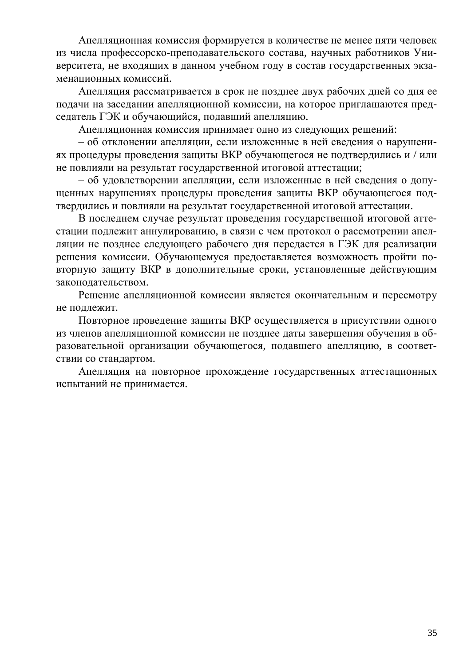Апелляционная комиссия формируется в количестве не менее пяти человек из числа профессорско-преподавательского состава, научных работников Университета, не входящих в данном учебном году в состав государственных экзаменационных комиссий.

Апелляция рассматривается в срок не позднее двух рабочих дней со дня ее подачи на заседании апелляционной комиссии, на которое приглашаются председатель ГЭК и обучающийся, подавший апелляцию.

Апелляционная комиссия принимает одно из следующих решений:

– об отклонении апелляции, если изложенные в ней сведения о нарушениях процедуры проведения защиты ВКР обучающегося не подтвердились и / или не повлияли на результат государственной итоговой аттестации;

– об удовлетворении апелляции, если изложенные в ней сведения о допущенных нарушениях процедуры проведения защиты ВКР обучающегося подтвердились и повлияли на результат государственной итоговой аттестации.

В последнем случае результат проведения государственной итоговой аттестации подлежит аннулированию, в связи с чем протокол о рассмотрении апелляции не позднее следующего рабочего дня передается в ГЭК для реализации решения комиссии. Обучающемуся предоставляется возможность пройти повторную защиту ВКР в дополнительные сроки, установленные действующим законодательством.

Решение апелляционной комиссии является окончательным и пересмотру не поллежит.

Повторное проведение защиты ВКР осуществляется в присутствии одного из членов апелляционной комиссии не позднее даты завершения обучения в образовательной организации обучающегося, подавшего апелляцию, в соответствии со стандартом.

Апелляция на повторное прохождение государственных аттестационных испытаний не принимается.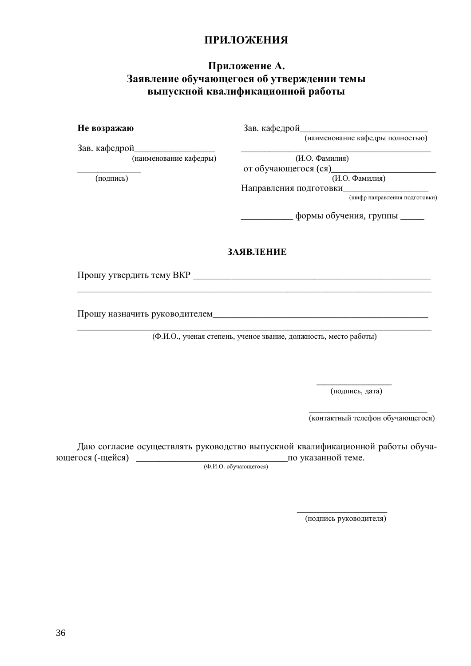# <span id="page-35-1"></span><span id="page-35-0"></span>ПРИЛОЖЕНИЯ

### Приложение А. Заявление обучающегося об утверждении темы **выпускной квалификационной работы**

**Не возражаю** Зав. кафедрой

(наименование кафедры полностью)

Зав. кафедрой

(наименование кафедры) (И.О. Фамилия)

от обучающегося (ся)\_  $(H.O. \Phi$ амилия)  $(H.O. \Phi)$ 

Направления подготовки\_

(шифр направления подготовки)

\_\_\_\_\_\_\_\_\_\_\_ ɮɨɪɦɵɨɛɭɱɟɧɢɹ, ɝɪɭɩɩɵ \_\_\_\_\_

### ЗАЯВЛЕНИЕ

\_\_\_\_\_\_\_\_\_\_\_\_\_\_\_\_\_\_\_\_\_\_\_\_\_\_\_\_\_\_\_\_\_\_\_\_\_\_\_\_\_\_\_\_\_\_\_\_\_\_\_\_\_\_\_\_\_\_\_\_\_\_\_\_

\_\_\_\_\_\_\_\_\_\_\_\_\_\_\_\_\_\_\_\_\_\_\_\_\_\_\_\_\_\_\_\_\_\_\_\_\_\_\_\_\_\_\_\_\_\_\_\_\_\_\_\_\_\_\_\_\_\_\_\_\_\_\_\_

Прошу утвердить тему ВКР

Прошу назначить руководителем

(Ф.И.О., ученая степень, ученое звание, должность, место работы)

(подпись, дата)

(контактный телефон обучающегося)

Даю согласие осуществлять руководство выпускной квалификационной работы обучаɸɳɟɝɨɫɹ (-ɳɟɣɫɹ) \_\_\_\_\_\_\_\_\_\_\_\_\_\_\_\_\_\_\_\_\_\_\_\_\_\_\_\_\_\_\_\_ɩɨɭɤɚɡɚɧɧɨɣɬɟɦɟ.

 $\frac{1}{\sqrt{2}}$  , and the state of the state of the state of the state of the state of the state of the state of the state of the state of the state of the state of the state of the state of the state of the state of the sta

 $(\Phi$ .  $H$ .  $\Omega$ .  $\delta$  of y чающегося

 $\mathcal{L}_\text{max}$  and  $\mathcal{L}_\text{max}$  and  $\mathcal{L}_\text{max}$  and  $\mathcal{L}_\text{max}$  and  $\mathcal{L}_\text{max}$ 

(подпись руководителя)

 $\overline{\phantom{a}}$  ,  $\overline{\phantom{a}}$  ,  $\overline{\phantom{a}}$  ,  $\overline{\phantom{a}}$  ,  $\overline{\phantom{a}}$  ,  $\overline{\phantom{a}}$  ,  $\overline{\phantom{a}}$  ,  $\overline{\phantom{a}}$  ,  $\overline{\phantom{a}}$  ,  $\overline{\phantom{a}}$  ,  $\overline{\phantom{a}}$  ,  $\overline{\phantom{a}}$  ,  $\overline{\phantom{a}}$  ,  $\overline{\phantom{a}}$  ,  $\overline{\phantom{a}}$  ,  $\overline{\phantom{a}}$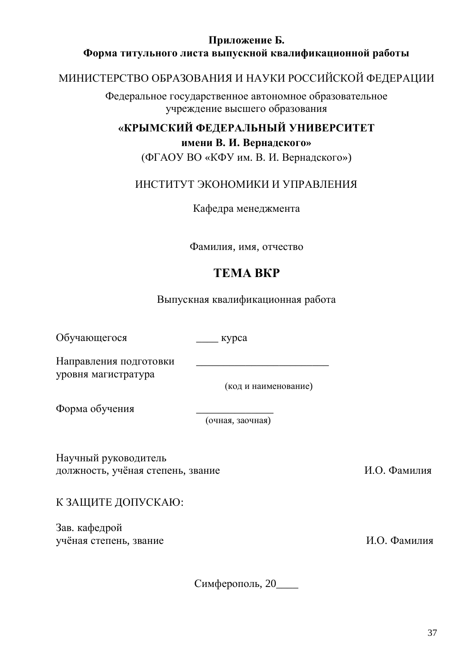# Приложение Б. Форма титульного листа выпускной квалификационной работы

# МИНИСТЕРСТВО ОБРАЗОВАНИЯ И НАУКИ РОССИЙСКОЙ ФЕДЕРАЦИИ

<span id="page-36-0"></span>Федеральное государственное автономное образовательное учреждение высшего образования

# «КРЫМСКИЙ ФЕДЕРАЛЬНЫЙ УНИВЕРСИТЕТ **имени В. И. Вернадского»**

(ФГАОУ ВО «КФУ им. В. И. Вернадского»)

# ИНСТИТУТ ЭКОНОМИКИ И УПРАВЛЕНИЯ

Кафедра менеджмента

Фамилия, имя, отчество

# **TEMA BKP**

Выпускная квалификационная работа

Обучающегося \_\_\_\_ курса

Направления подготовки уровня магистратура

(код и наименование)

Форма обучения

(очная, заочная)

Научный руководитель должность, учёная степень, звание и пользов и пользов и пользов и пользов и пользов и пользов и пользов и польз

К ЗАЩИТЕ ДОПУСКАЮ:

Зав. кафедрой үчёная степень, звание и поставляет и поставляет и поставляет и поставляет и поставляет и поставляет и поставл

Симферополь, 20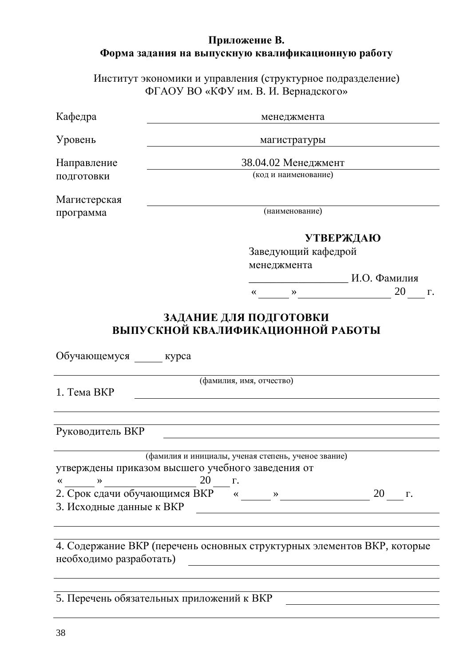# <span id="page-37-0"></span>Приложение В. Форма задания на выпускную квалификационную работу

Институт экономики и управления (структурное подразделение) ФГАОУ ВО «КФУ им. В. И. Вернадского»

| Кафедра                                                 | менеджмента                                                                                                                                                                                                                                                                                                                                                                                                                                                                           |  |  |
|---------------------------------------------------------|---------------------------------------------------------------------------------------------------------------------------------------------------------------------------------------------------------------------------------------------------------------------------------------------------------------------------------------------------------------------------------------------------------------------------------------------------------------------------------------|--|--|
| Уровень                                                 | магистратуры                                                                                                                                                                                                                                                                                                                                                                                                                                                                          |  |  |
| Направление<br>ПОДГОТОВКИ                               | 38.04.02 Менеджмент<br>(код и наименование)                                                                                                                                                                                                                                                                                                                                                                                                                                           |  |  |
| Магистерская<br>программа                               | (наименование)                                                                                                                                                                                                                                                                                                                                                                                                                                                                        |  |  |
|                                                         | <b>УТВЕРЖДАЮ</b><br>Заведующий кафедрой<br>менеджмента<br>20 г.<br>$\begin{picture}(150,10) \put(0,0){\line(1,0){10}} \put(15,0){\line(1,0){10}} \put(15,0){\line(1,0){10}} \put(15,0){\line(1,0){10}} \put(15,0){\line(1,0){10}} \put(15,0){\line(1,0){10}} \put(15,0){\line(1,0){10}} \put(15,0){\line(1,0){10}} \put(15,0){\line(1,0){10}} \put(15,0){\line(1,0){10}} \put(15,0){\line(1,0){10}} \put(15,0){\line($<br>ЗАДАНИЕ ДЛЯ ПОДГОТОВКИ<br>ВЫПУСКНОЙ КВАЛИФИКАЦИОННОЙ РАБОТЫ |  |  |
| Обучающемуся __ курса                                   |                                                                                                                                                                                                                                                                                                                                                                                                                                                                                       |  |  |
| 1. Тема ВКР                                             | (фамилия, имя, отчество)                                                                                                                                                                                                                                                                                                                                                                                                                                                              |  |  |
| Руководитель ВКР                                        |                                                                                                                                                                                                                                                                                                                                                                                                                                                                                       |  |  |
| $\qquad \qquad \rightarrow$<br>3. Исходные данные к ВКР | (фамилия и инициалы, ученая степень, ученое звание)<br>утверждены приказом высшего учебного заведения от<br>20<br>$\Gamma$ .<br>2. Срок сдачи обучающимся ВКР $\overline{\phantom{a}}$ « _____ » __________________________ 20 ____ г.                                                                                                                                                                                                                                                |  |  |
| необходимо разработать)                                 | 4. Содержание ВКР (перечень основных структурных элементов ВКР, которые                                                                                                                                                                                                                                                                                                                                                                                                               |  |  |
|                                                         | 5. Перечень обязательных приложений к ВКР                                                                                                                                                                                                                                                                                                                                                                                                                                             |  |  |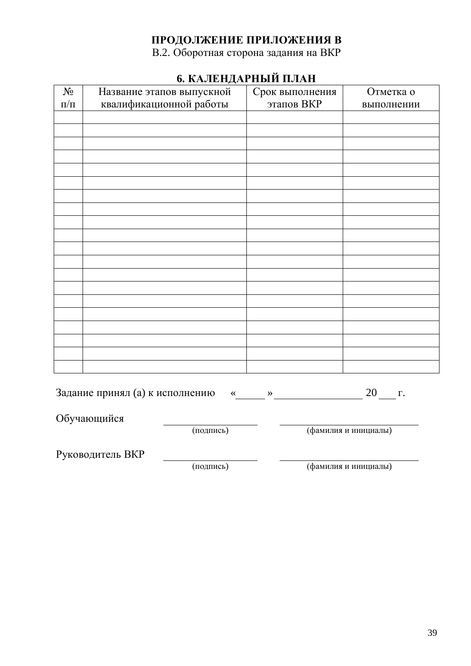# ПРОДОЛЖЕНИЕ ПРИЛОЖЕНИЯ В

В.2. Оборотная сторона задания на ВКР

| 0. КАЛЕПДАГП ДИ ПЛАП |                                                                                       |                 |            |  |
|----------------------|---------------------------------------------------------------------------------------|-----------------|------------|--|
| $N_{\Omega}$         | Название этапов выпускной                                                             | Срок выполнения | Отметка о  |  |
| $\Pi/\Pi$            | квалификационной работы                                                               | этапов ВКР      | выполнении |  |
|                      |                                                                                       |                 |            |  |
|                      |                                                                                       |                 |            |  |
|                      |                                                                                       |                 |            |  |
|                      |                                                                                       |                 |            |  |
|                      |                                                                                       |                 |            |  |
|                      |                                                                                       |                 |            |  |
|                      |                                                                                       |                 |            |  |
|                      |                                                                                       |                 |            |  |
|                      |                                                                                       |                 |            |  |
|                      |                                                                                       |                 |            |  |
|                      |                                                                                       |                 |            |  |
|                      |                                                                                       |                 |            |  |
|                      |                                                                                       |                 |            |  |
|                      |                                                                                       |                 |            |  |
|                      |                                                                                       |                 |            |  |
|                      |                                                                                       |                 |            |  |
|                      |                                                                                       |                 |            |  |
|                      |                                                                                       |                 |            |  |
|                      |                                                                                       |                 |            |  |
|                      |                                                                                       |                 |            |  |
|                      | Задание принял (а) к исполнению « у полнение место и принял (а) к исполнению<br>20 г. |                 |            |  |
|                      | Обучающийся                                                                           |                 |            |  |

# **6. ɄȺɅȿɇȾȺɊɇɕɃɉɅȺɇ**

(подпись) (фамилия и инициалы)

Руководитель ВКР

(подпись) (фамилия и инициалы)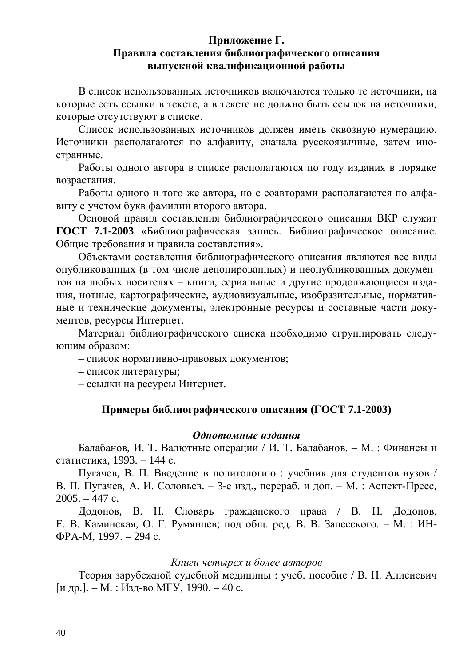### <span id="page-39-0"></span>Приложение Г. Правила составления библиографического описания **выпускной квалификационной работы**

В список использованных источников включаются только те источники, на которые есть ссылки в тексте, а в тексте не должно быть ссылок на источники, которые отсутствуют в списке.

Список использованных источников должен иметь сквозную нумерацию. Источники располагаются по алфавиту, сначала русскоязычные, затем иностранные.

Работы одного автора в списке располагаются по году издания в порядке возрастания.

Работы одного и того же автора, но с соавторами располагаются по алфавиту с учетом букв фамилии второго автора.

Основой правил составления библиографического описания ВКР служит ГОСТ 7.1-2003 «Библиографическая запись. Библиографическое описание. Общие требования и правила составления».

Объектами составления библиографического описания являются все виды опубликованных (в том числе депонированных) и неопубликованных документов на любых носителях – книги, сериальные и другие продолжающиеся издания, нотные, картографические, аудиовизуальные, изобразительные, нормативные и технические документы, электронные ресурсы и составные части документов, ресурсы Интернет.

Материал библиографического списка необходимо сгруппировать следующим образом:

– список нормативно-правовых документов;

– список литературы;

– ссылки на ресурсы Интернет.

### Примеры библиографического описания (ГОСТ 7.1-2003)

### $O$ днотомные издания

Балабанов, И. Т. Валютные операции / И. Т. Балабанов. – М. : Финансы и статистика. 1993. – 144 с.

Пугачев, В. П. Введение в политологию : учебник для студентов вузов / В. П. Пугачев, А. И. Соловьев. – 3-е изд., перераб. и доп. – М. : Аспект-Пресс,  $2005. - 447$  c.

Додонов, В. Н. Словарь гражданского права / В. Н. Додонов, Е. В. Каминская, О. Г. Румянцев; под общ. ред. В. В. Залесского. – М. : ИН-ФРА-М, 1997. – 294 с.

### Книги четырех и более авторов

Теория зарубежной судебной медицины : учеб. пособие / В. Н. Алисиевич [и др.]. – М. : Изд-во МГУ, 1990. – 40 с.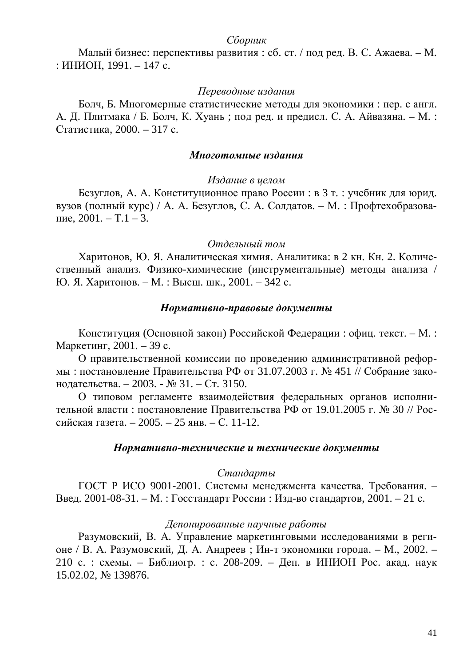### *Сборник*

Малый бизнес: перспективы развития: сб. ст. / под ред. В. С. Ажаева. – М.  $:$  ИНИОН, 1991. – 147 с.

#### Переводные издания

Болч, Б. Многомерные статистические методы для экономики : пер. с англ. А. Д. Плитмака / Б. Болч, К. Хуань; под ред. и предисл. С. А. Айвазяна. – М. : Статистика, 2000. – 317 с.

#### **Многотомные издания**

#### Издание в целом

Безуглов, А. А. Конституционное право России : в 3 т. : учебник для юрид. вузов (полный курс) / А. А. Безуглов, С. А. Солдатов. – М. : Профтехобразование,  $2001. - T.1 - 3.$ 

#### $O$ *тдельный том*

Харитонов, Ю. Я. Аналитическая химия. Аналитика: в 2 кн. Кн. 2. Количественный анализ. Физико-химические (инструментальные) методы анализа / Ю. Я. Харитонов. – М. : Высш. шк., 2001. – 342 с.

### $Hopmamusho$ -правовые документы

Конституция (Основной закон) Российской Федерации: офиц. текст. – М.: Маркетинг, 2001. – 39 с.

О правительственной комиссии по проведению административной реформы: постановление Правительства РФ от 31.07.2003 г. № 451 // Собрание законодательства. – 2003. - № 31. – Ст. 3150.

О типовом регламенте взаимодействия федеральных органов исполнительной власти : постановление Правительства РФ от 19.01.2005 г. № 30 // Российская газета. – 2005. – 25 янв. – С. 11-12.

#### Нормативно-технические и технические документы

### $C$ тандарты

ГОСТ Р ИСО 9001-2001. Системы менеджмента качества. Требования. – Введ. 2001-08-31. – М. : Госстандарт России : Изд-во стандартов, 2001. – 21 с.

### Депонированные научные работы

Разумовский, В. А. Управление маркетинговыми исследованиями в регионе / В. А. Разумовский, Д. А. Андреев; Ин-т экономики города. – М., 2002. – 210 с. : схемы. – Библиогр. : с. 208-209. – Деп. в ИНИОН Рос. акад. наук 15.02.02, № 139876.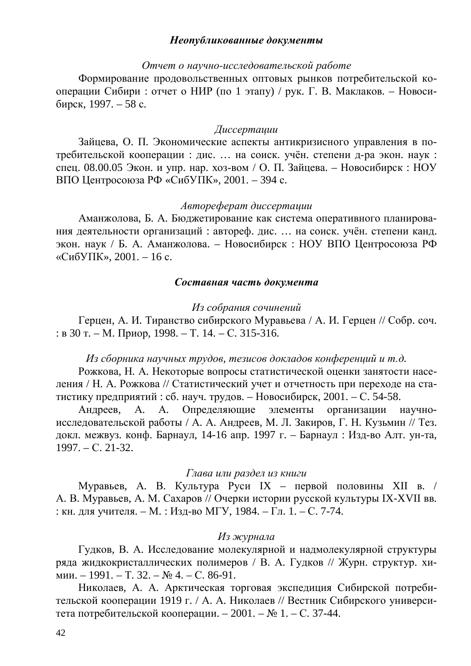### Неопубликованные документы

#### *Ɉɬɱɟɬɨɧɚɭɱɧɨɢɫɫɥɟɞɨɜɚɬɟɥɶɫɤɨɣɪɚɛɨɬɟ*

Формирование продовольственных оптовых рынков потребительской кооперации Сибири : отчет о НИР (по 1 этапу) / рук. Г. В. Маклаков. – Новосибирск, 1997. – 58 с.

### *Ⱦɢɫɫɟɪɬɚɰɢɢ*

Зайцева, О. П. Экономические аспекты антикризисного управления в потребительской кооперации : дис. ... на соиск. учён. степени д-ра экон. наук : спец. 08.00.05 Экон. и упр. нар. хоз-вом / О. П. Зайцева. – Новосибирск: НОУ ВПО Центросоюза РФ «СибУПК», 2001. – 394 с.

### *A*emopedepam duccepmauuu

Аманжолова, Б. А. Бюджетирование как система оперативного планирования деятельности организаций: автореф. дис. ... на соиск. учён. степени канд. экон. наук / Б. А. Аманжолова. – Новосибирск: НОУ ВПО Центросоюза РФ «СибУПК», 2001. – 16 с.

### Составная часть документа

### $M$ з собрания сочинений

Герцен, А. И. Тиранство сибирского Муравьева / А. И. Герцен // Собр. соч.  $: B 30$  T. – M.  $Pi$ phop, 1998. – T. 14. – C. 315-316.

### $M$ з сборника научных трудов, тезисов докладов конференций и т.д.

Рожкова, Н. А. Некоторые вопросы статистической оценки занятости населения / Н. А. Рожкова // Статистический учет и отчетность при переходе на статистику предприятий: сб. науч. трудов. – Новосибирск, 2001. – С. 54-58.

Андреев, А. А. Определяющие элементы организации научноисследовательской работы / А. А. Андреев, М. Л. Закиров, Г. Н. Кузьмин // Тез. докл. межвуз. конф. Барнаул, 14-16 апр. 1997 г. – Барнаул : Изд-во Алт. ун-та, 1997. – C. 21-32.

### Глава или раздел из книги

Муравьев, А. В. Культура Руси IX – первой половины XII в. / А. В. Муравьев, А. М. Сахаров // Очерки истории русской культуры IX-XVII вв. : кн. для учителя. – М. : Изд-во МГУ, 1984. – Гл. 1. – С. 7-74.

### *Из журнала*

Гудков, В. А. Исследование молекулярной и надмолекулярной структуры ряда жидкокристаллических полимеров / В. А. Гудков // Журн. структур. химии. – 1991. – Т. 32. – № 4. – С. 86-91.

Николаев, А. А. Арктическая торговая экспедиция Сибирской потребительской кооперации 1919 г. / А. А. Николаев // Вестник Сибирского университета потребительской кооперации. – 2001. – № 1. – С. 37-44.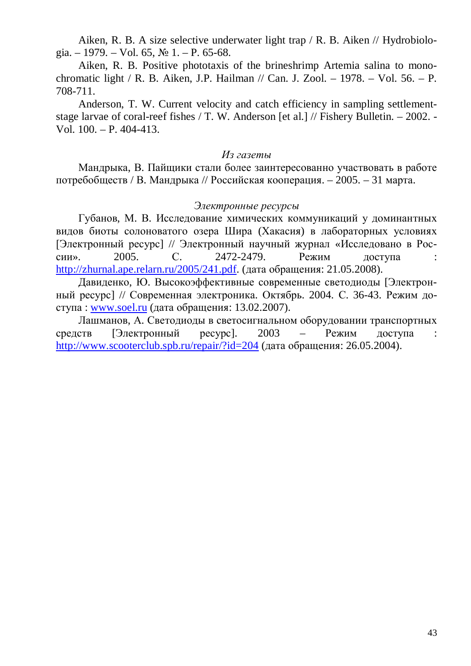Aiken, R. B. A size selective underwater light trap / R. B. Aiken // Hydrobiologia. – 1979. – Vol. 65,  $\mathbb{N}$  1. – P. 65-68.

Aiken, R. B. Positive phototaxis of the brineshrimp Artemia salina to monochromatic light / R. B. Aiken, J.P. Hailman // Can. J. Zool. – 1978. – Vol. 56. – P. 708-711.

Anderson, T. W. Current velocity and catch efficiency in sampling settlementstage larvae of coral-reef fishes / T. W. Anderson [et al.] // Fishery Bulletin. – 2002. - Vol. 100. – P. 404-413.

### $M$ *з газеты*

Мандрыка, В. Пайщики стали более заинтересованно участвовать в работе потребобществ / В. Мандрыка // Российская кооперация. – 2005. – 31 марта.

### Электронные ресурсы

Губанов, М. В. Исследование химических коммуникаций у доминантных видов биоты солоноватого озера Шира (Хакасия) в лабораторных условиях [Электронный ресурс] // Электронный научный журнал «Исследовано в России». 2005. С. 2472-2479. Режим доступа : [http://zhurnal.ape.relarn.ru/2005/241.pdf.](http://zhurnal.ape.relarn.ru/2005/241.pdf) (дата обращения: 21.05.2008).

Давиденко, Ю. Высокоэффективные современные светодиоды [Электронный ресурс] // Современная электроника. Октябрь. 2004. С. 36-43. Режим доступа : [www.soel.ru](http://www.soel.ru/) (дата обращения: 13.02.2007).

Лашманов, А. Светодиоды в светосигнальном оборудовании транспортных средств [Электронный ресурс]. 2003 – Режим доступа : <http://www.scooterclub.spb.ru/repair/?id=204>(дата обращения: 26.05.2004).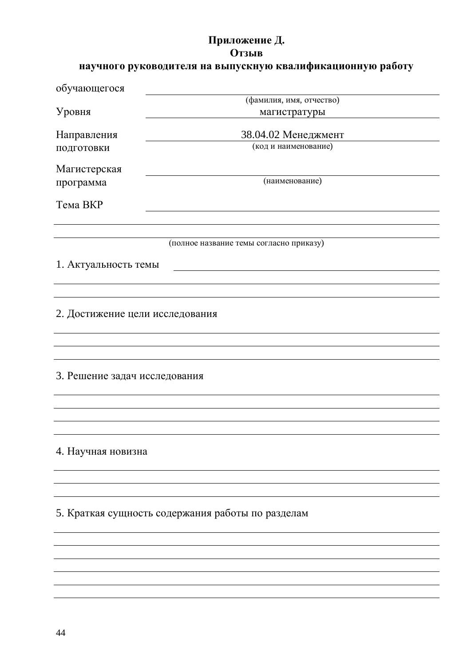# <span id="page-43-0"></span>Приложение Д. **Отзыв**

# научного руководителя на выпускную квалификационную работу

| обучающегося                  |                                                   |  |  |  |
|-------------------------------|---------------------------------------------------|--|--|--|
|                               | (фамилия, имя, отчество)                          |  |  |  |
| Уровня                        | магистратуры                                      |  |  |  |
| Направления                   | 38.04.02 Менеджмент                               |  |  |  |
| подготовки                    | (код и наименование)                              |  |  |  |
| Магистерская                  |                                                   |  |  |  |
| программа                     | (наименование)                                    |  |  |  |
|                               |                                                   |  |  |  |
| Тема ВКР                      |                                                   |  |  |  |
|                               |                                                   |  |  |  |
|                               | (полное название темы согласно приказу)           |  |  |  |
| 1. Актуальность темы          |                                                   |  |  |  |
|                               |                                                   |  |  |  |
|                               |                                                   |  |  |  |
|                               | 2. Достижение цели исследования                   |  |  |  |
|                               |                                                   |  |  |  |
|                               |                                                   |  |  |  |
| 3. Решение задач исследования |                                                   |  |  |  |
|                               |                                                   |  |  |  |
|                               |                                                   |  |  |  |
|                               |                                                   |  |  |  |
| 4. Научная новизна            |                                                   |  |  |  |
|                               |                                                   |  |  |  |
|                               |                                                   |  |  |  |
|                               | 5. Краткая сущность содержания работы по разделам |  |  |  |
|                               |                                                   |  |  |  |
|                               |                                                   |  |  |  |
|                               |                                                   |  |  |  |
|                               |                                                   |  |  |  |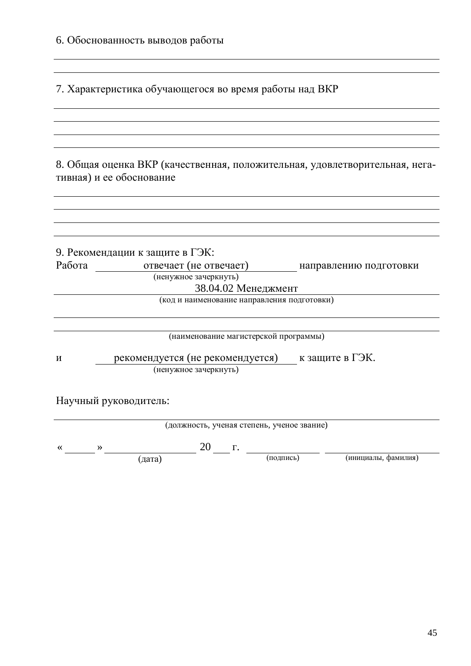7. Характеристика обучающегося во время работы над ВКР

<u> 1980 - Johann Stoff, amerikansk politiker (d. 1980)</u>

8. Общая оценка ВКР (качественная, положительная, удовлетворительная, негативная) и ее обоснование

|        | 9. Рекомендации к защите в ГЭК:             |                        |
|--------|---------------------------------------------|------------------------|
| Работа | отвечает (не отвечает)                      | направлению подготовки |
|        | (ненужное зачеркнуть)                       |                        |
|        | 38.04.02 Менеджмент                         |                        |
|        | (код и наименование направления подготовки) |                        |
|        |                                             |                        |
|        |                                             |                        |
|        | (наименование магистерской программы)       |                        |
|        |                                             |                        |
| И      | рекомендуется (не рекомендуется)            | к защите в ГЭК.        |
|        | (ненужное зачеркнуть)                       |                        |
|        |                                             |                        |

Научный руководитель:

| (должность, ученая степень, ученое звание) |  |        |  |  |           |                     |  |
|--------------------------------------------|--|--------|--|--|-----------|---------------------|--|
|                                            |  |        |  |  |           |                     |  |
|                                            |  | (дата) |  |  | (подпись) | (инициалы, фамилия) |  |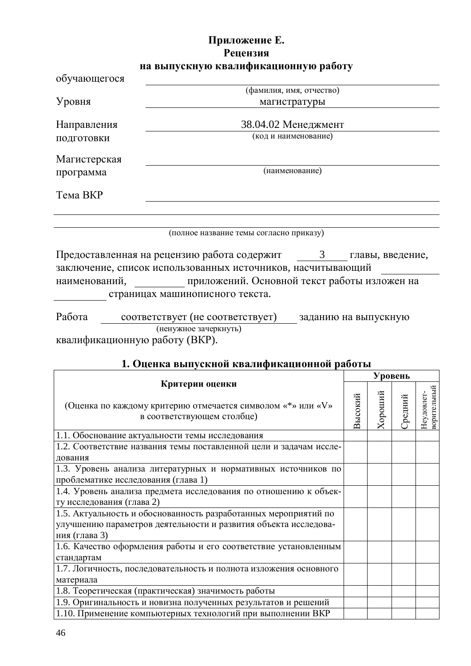# <span id="page-45-0"></span>Приложение Е. Рецензия на выпускную квалификационную работу

| обучающегося                                                                                                               |                                                                                                                                                                                                                                     |  |  |  |  |
|----------------------------------------------------------------------------------------------------------------------------|-------------------------------------------------------------------------------------------------------------------------------------------------------------------------------------------------------------------------------------|--|--|--|--|
|                                                                                                                            | (фамилия, имя, отчество)                                                                                                                                                                                                            |  |  |  |  |
| Уровня                                                                                                                     | магистратуры                                                                                                                                                                                                                        |  |  |  |  |
| Направления<br>подготовки                                                                                                  | 38.04.02 Менеджмент<br>(код и наименование)                                                                                                                                                                                         |  |  |  |  |
| Магистерская<br>программа                                                                                                  | (наименование)                                                                                                                                                                                                                      |  |  |  |  |
| Тема ВКР                                                                                                                   |                                                                                                                                                                                                                                     |  |  |  |  |
|                                                                                                                            | (полное название темы согласно приказу)                                                                                                                                                                                             |  |  |  |  |
| наименований,                                                                                                              | Предоставленная на рецензию работа содержит<br>$\overline{3}$<br>главы, введение,<br>заключение, список использованных источников, насчитывающий<br>приложений. Основной текст работы изложен на<br>страницах машинописного текста. |  |  |  |  |
| Работа<br>соответствует (не соответствует) заданию на выпускную<br>(ненужное зачеркнуть)<br>квалификационную работу (ВКР). |                                                                                                                                                                                                                                     |  |  |  |  |

# <span id="page-45-1"></span>1. Оценка выпускной квалификационной работы

| Критерии оценки                                                                                      |         | Уровень |         |                           |  |
|------------------------------------------------------------------------------------------------------|---------|---------|---------|---------------------------|--|
|                                                                                                      |         |         |         |                           |  |
| (Оценка по каждому критерию отмечается символом «*» или «V»<br>в соответствующем столбце)            | Высокий | Хороший | ⊃редний | ворительный<br>Неудовлет- |  |
| 1.1. Обоснование актуальности темы исследования                                                      |         |         |         |                           |  |
| 1.2. Соответствие названия темы поставленной цели и задачам иссле-<br>дования                        |         |         |         |                           |  |
| 1.3. Уровень анализа литературных и нормативных источников по<br>проблематике исследования (глава 1) |         |         |         |                           |  |
| 1.4. Уровень анализа предмета исследования по отношению к объек-<br>ту исследования (глава 2)        |         |         |         |                           |  |
| 1.5. Актуальность и обоснованность разработанных мероприятий по                                      |         |         |         |                           |  |
| улучшению параметров деятельности и развития объекта исследова-<br>ния (глава 3)                     |         |         |         |                           |  |
| 1.6. Качество оформления работы и его соответствие установленным<br>стандартам                       |         |         |         |                           |  |
| 1.7. Логичность, последовательность и полнота изложения основного                                    |         |         |         |                           |  |
| материала<br>1.8. Теоретическая (практическая) значимость работы                                     |         |         |         |                           |  |
|                                                                                                      |         |         |         |                           |  |
| 1.9. Оригинальность и новизна полученных результатов и решений                                       |         |         |         |                           |  |
| 1.10. Применение компьютерных технологий при выполнении ВКР                                          |         |         |         |                           |  |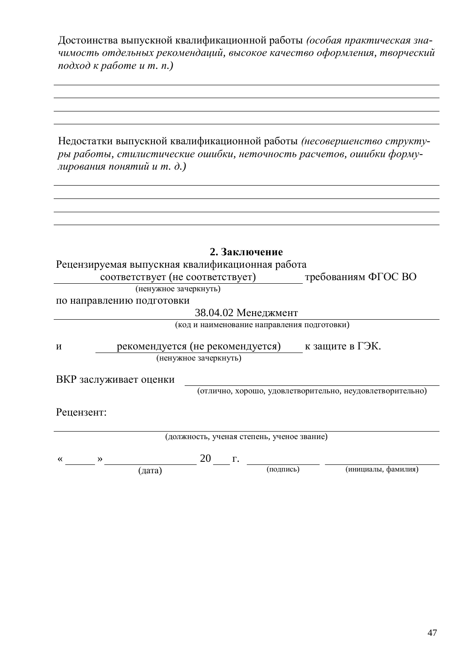Достоинства выпускной квалификационной работы (особая практическая значимость отдельных рекомендаций, высокое качество оформления, творческий  $\frac{1}{100}$ *k* pаботе *u m. n.*)

Недостатки выпускной квалификационной работы (несовершенство структуры работы, стилистические ошибки, неточность расчетов, ошибки форму- $\mu$ ирования понятий и т. д.)

|                                                 | 2. Заключение         |                                             |                                                           |
|-------------------------------------------------|-----------------------|---------------------------------------------|-----------------------------------------------------------|
| Рецензируемая выпускная квалификационная работа |                       |                                             |                                                           |
| соответствует (не соответствует)                |                       |                                             | требованиям ФГОС ВО                                       |
| (ненужное зачеркнуть)                           |                       |                                             |                                                           |
| по направлению подготовки                       |                       |                                             |                                                           |
|                                                 |                       | 38.04.02 Менеджмент                         |                                                           |
|                                                 |                       | (код и наименование направления подготовки) |                                                           |
| рекомендуется (не рекомендуется)<br>И           |                       |                                             | к защите в ГЭК.                                           |
|                                                 | (ненужное зачеркнуть) |                                             |                                                           |
| ВКР заслуживает оценки                          |                       |                                             |                                                           |
|                                                 |                       |                                             | (отлично, хорошо, удовлетворительно, неудовлетворительно) |
| Рецензент:                                      |                       |                                             |                                                           |
|                                                 |                       | (должность, ученая степень, ученое звание)  |                                                           |
|                                                 |                       |                                             |                                                           |
| ≪<br>≫                                          | 20<br>$\Gamma$ .      |                                             |                                                           |
| (дата)                                          |                       | (подпись)                                   | (инициалы, фамилия)                                       |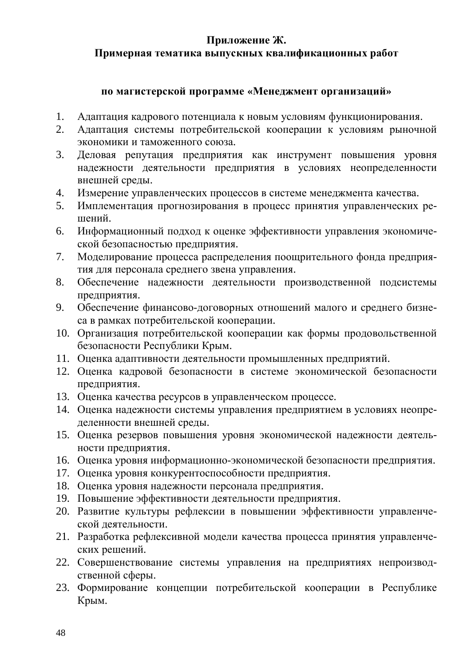# <span id="page-47-0"></span>Приложение Ж.

# Примерная тематика выпускных квалификационных работ

### ПО МАГИСТЕРСКОЙ ПРОГРАММЕ «Менеджмент организаций»

- 1. Адаптация кадрового потенциала к новым условиям функционирования.
- 2. Адаптация системы потребительской кооперации к условиям рыночной экономики и таможенного союза.
- 3. Деловая репутация предприятия как инструмент повышения уровня надежности деятельности предприятия в условиях неопределенности внешней среды.
- 4. Измерение управленческих процессов в системе менеджмента качества.
- 5. Имплементация прогнозирования в процесс принятия управленческих решений.
- 6. Информационный подход к оценке эффективности управления экономической безопасностью предприятия.
- 7. Моделирование процесса распределения поощрительного фонда предприятия для персонала среднего звена управления.
- 8. Обеспечение надежности деятельности производственной подсистемы предприятия.
- 9. Обеспечение финансово-договорных отношений малого и среднего бизнеса в рамках потребительской кооперации.
- 10. Организация потребительской кооперации как формы продовольственной безопасности Республики Крым.
- 11. Оценка адаптивности деятельности промышленных предприятий.
- 12. Оценка кадровой безопасности в системе экономической безопасности предприятия.
- 13. Оценка качества ресурсов в управленческом процессе.
- 14. Оценка надежности системы управления предприятием в условиях неопределенности внешней среды.
- 15. Оценка резервов повышения уровня экономической надежности деятельности предприятия.
- 16. Оценка уровня информационно-экономической безопасности предприятия.
- 17. Оценка уровня конкурентоспособности предприятия.
- 18. Оценка уровня надежности персонала предприятия.
- 19. Повышение эффективности деятельности предприятия.
- 20. Развитие культуры рефлексии в повышении эффективности управленческой деятельности.
- 21. Разработка рефлексивной модели качества процесса принятия управленческих решений.
- 22. Совершенствование системы управления на предприятиях непроизводственной сферы.
- 23. Формирование концепции потребительской кооперации в Республике Крым.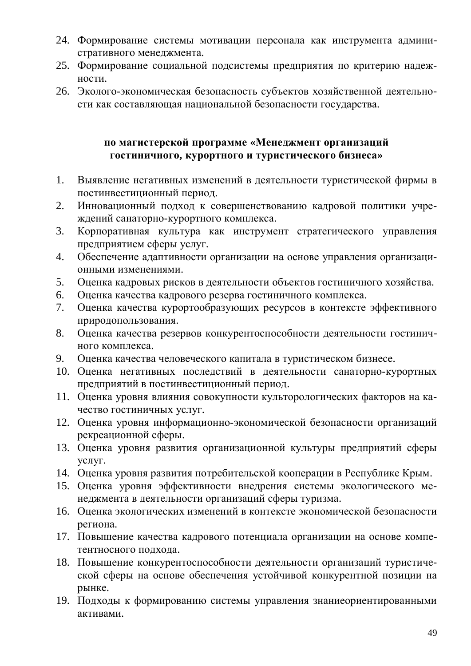- 24. Формирование системы мотивации персонала как инструмента административного менеджмента.
- 25. Формирование социальной подсистемы предприятия по критерию надежности.
- 26. Эколого-экономическая безопасность субъектов хозяйственной деятельности как составляющая национальной безопасности государства.

# по магистерской программе «Менеджмент организаций гостиничного, курортного и туристического бизнеса»

- 1. Выявление негативных изменений в деятельности туристической фирмы в постинвестиционный период.
- 2. Инновационный подход к совершенствованию кадровой политики учреждений санаторно-курортного комплекса.
- 3. Корпоративная культура как инструмент стратегического управления предприятием сферы услуг.
- 4. Обеспечение адаптивности организации на основе управления организационными изменениями.
- 5. Оценка кадровых рисков в деятельности объектов гостиничного хозяйства.
- 6. Оценка качества кадрового резерва гостиничного комплекса.
- 7. Оценка качества курортообразующих ресурсов в контексте эффективного природопользования.
- 8. Оценка качества резервов конкурентоспособности деятельности гостиничного комплекса.
- 9. Оценка качества человеческого капитала в туристическом бизнесе.
- 10. Оценка негативных последствий в деятельности санаторно-курортных предприятий в постинвестиционный период.
- 11. Оценка уровня влияния совокупности культорологических факторов на качество гостиничных услуг.
- 12. Оценка уровня информационно-экономической безопасности организаций рекреационной сферы.
- 13. Оценка уровня развития организационной культуры предприятий сферы yслyг.
- 14. Оценка уровня развития потребительской кооперации в Республике Крым.
- 15. Оценка уровня эффективности внедрения системы экологического менеджмента в деятельности организаций сферы туризма.
- 16. Оценка экологических изменений в контексте экономической безопасности региона.
- 17. Повышение качества кадрового потенциала организации на основе компетентносного подхода.
- 18. Повышение конкурентоспособности деятельности организаций туристической сферы на основе обеспечения устойчивой конкурентной позиции на рынке.
- 19. Подходы к формированию системы управления знание ориентированными активами.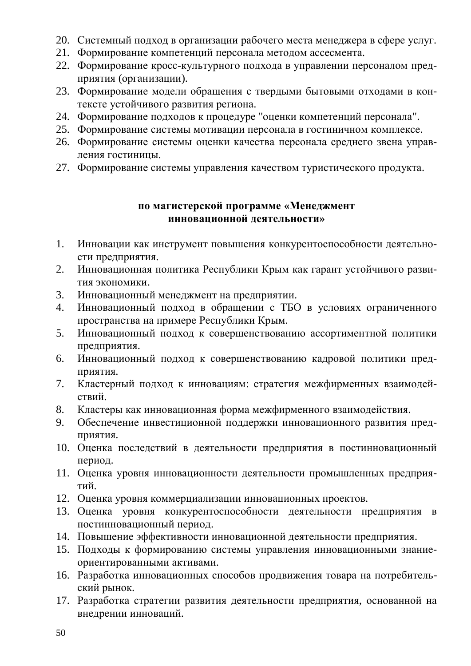- 20. Системный подход в организации рабочего места менеджера в сфере услуг.
- 21. Формирование компетенций персонала методом ассесмента.
- 22. Формирование кросс-культурного подхода в управлении персоналом предприятия (организации).
- 23. Формирование модели обращения с твердыми бытовыми отходами в контексте устойчивого развития региона.
- 24. Формирование подходов к процедуре "оценки компетенций персонала".
- 25. Формирование системы мотивации персонала в гостиничном комплексе.
- 26. Формирование системы оценки качества персонала среднего звена управления гостиницы.
- 27. Формирование системы управления качеством туристического продукта.

# по магистерской программе «Менеджмент инновационной деятельности»

- 1. Инновации как инструмент повышения конкурентоспособности деятельности предприятия.
- 2. Инновационная политика Республики Крым как гарант устойчивого развития экономики.
- 3. Инновационный менеджмент на предприятии.
- 4. Инновационный подход в обращении с ТБО в условиях ограниченного пространства на примере Республики Крым.
- 5. Инновационный подход к совершенствованию ассортиментной политики предприятия.
- 6. Инновационный подход к совершенствованию кадровой политики предприятия.
- 7. Кластерный подход к инновациям: стратегия межфирменных взаимодействий.
- 8. Кластеры как инновационная форма межфирменного взаимодействия.
- 9. Обеспечение инвестиционной поддержки инновационного развития пред-TIDHATHA.
- 10. Оценка последствий в деятельности предприятия в постинновационный период.
- 11. Оценка уровня инновационности деятельности промышленных предприятий.
- 12. Оценка уровня коммерциализации инновационных проектов.
- 13. Оценка уровня конкурентоспособности деятельности предприятия в постинновационный период.
- 14. Повышение эффективности инновационной деятельности предприятия.
- 15. Подходы к формированию системы управления инновационными знаниеориентированными активами.
- 16. Разработка инновационных способов продвижения товара на потребительский рынок.
- 17. Разработка стратегии развития деятельности предприятия, основанной на внедрении инноваций.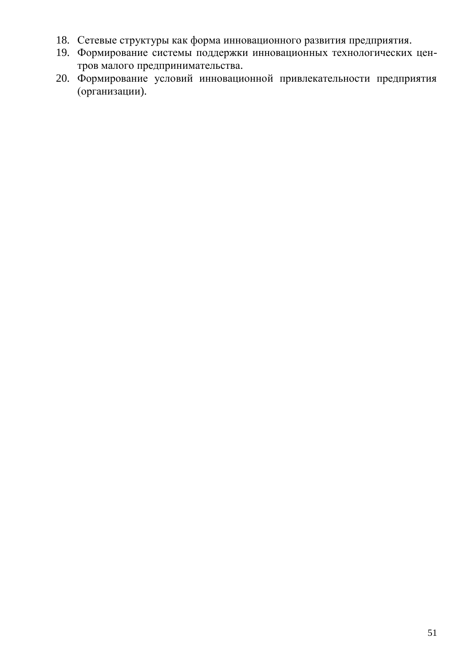- 18. Сетевые структуры как форма инновационного развития предприятия.
- 19. Формирование системы поддержки инновационных технологических центров малого предпринимательства.
- 20. Формирование условий инновационной привлекательности предприятия (организации).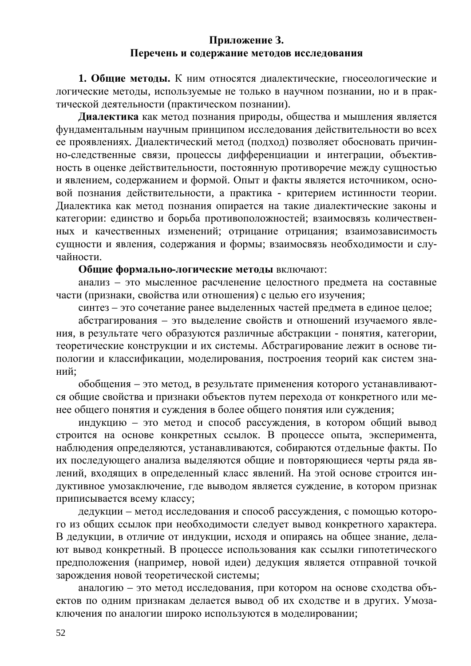### <span id="page-51-0"></span>Приложение 3. Перечень и содержание методов исследования

1. Общие методы. К ним относятся диалектические, гносеологические и логические методы, используемые не только в научном познании, но и в практической деятельности (практическом познании).

**Диалектика** как метод познания природы, общества и мышления является фундаментальным научным принципом исследования действительности во всех ее проявлениях. Диалектический метод (подход) позволяет обосновать причинно-следственные связи, процессы дифференциации и интеграции, объективность в оценке действительности, постоянную противоречие между сущностью и явлением, содержанием и формой. Опыт и факты является источником, основой познания действительности, а практика - критерием истинности теории. Диалектика как метод познания опирается на такие диалектические законы и категории: единство и борьба противоположностей; взаимосвязь количественных и качественных изменений; отрицание отрицания; взаимозависимость сущности и явления, содержания и формы; взаимосвязь необходимости и случайности.

### Общие формально-логические методы включают:

анализ – это мысленное расчленение целостного предмета на составные части (признаки, свойства или отношения) с целью его изучения;

синтез – это сочетание ранее выделенных частей предмета в единое целое;

абстрагирования – это выделение свойств и отношений изучаемого явления, в результате чего образуются различные абстракции - понятия, категории, теоретические конструкции и их системы. Абстрагирование лежит в основе типологии и классификации, моделирования, построения теорий как систем знаний:

обобщения – это метод, в результате применения которого устанавливаются общие свойства и признаки объектов путем перехода от конкретного или менее общего понятия и суждения в более общего понятия или суждения;

индукцию – это метод и способ рассуждения, в котором общий вывод строится на основе конкретных ссылок. В процессе опыта, эксперимента, наблюдения определяются, устанавливаются, собираются отдельные факты. По их последующего анализа выделяются общие и повторяющиеся черты ряда явлений, входящих в определенный класс явлений. На этой основе строится индуктивное умозаключение, где выводом является суждение, в котором признак приписывается всему классу;

дедукции – метод исследования и способ рассуждения, с помощью которого из общих ссылок при необходимости следует вывод конкретного характера. В дедукции, в отличие от индукции, исходя и опираясь на общее знание, делают вывод конкретный. В процессе использования как ссылки гипотетического предположения (например, новой идеи) дедукция является отправной точкой зарождения новой теоретической системы;

аналогию – это метод исследования, при котором на основе сходства объектов по одним признакам делается вывод об их сходстве и в других. Умозаключения по аналогии широко используются в моделировании;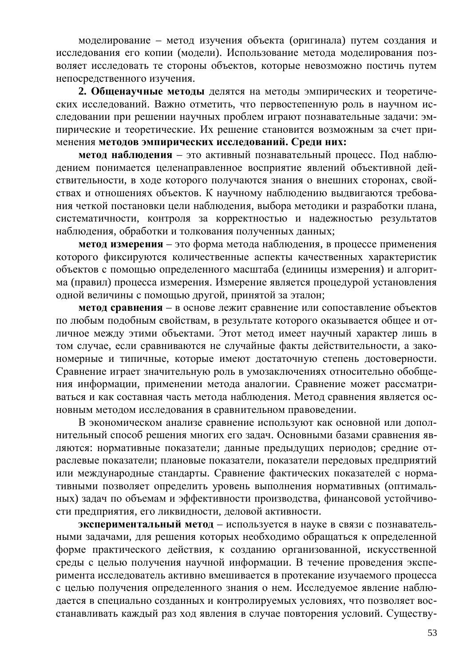моделирование – метод изучения объекта (оригинала) путем создания и исследования его копии (модели). Использование метода моделирования позволяет исследовать те стороны объектов, которые невозможно постичь путем непосредственного изучения.

**2. Общенаучные методы** делятся на методы эмпирических и теоретических исследований. Важно отметить, что первостепенную роль в научном исследовании при решении научных проблем играют познавательные задачи: эмпирические и теоретические. Их решение становится возможным за счет применения методов эмпирических исследований. Среди них:

**метод наблюдения** – это активный познавательный процесс. Под наблюдением понимается целенаправленное восприятие явлений объективной действительности, в ходе которого получаются знания о внешних сторонах, свойствах и отношениях объектов. К научному наблюдению выдвигаются требования четкой постановки цели наблюдения, выбора методики и разработки плана, систематичности, контроля за корректностью и надежностью результатов наблюдения, обработки и толкования полученных данных;

**метод измерения** – это форма метода наблюдения, в процессе применения которого фиксируются количественные аспекты качественных характеристик объектов с помощью определенного масштаба (единицы измерения) и алгоритма (правил) процесса измерения. Измерение является процедурой установления одной величины с помощью другой, принятой за эталон;

**метод сравнения** – в основе лежит сравнение или сопоставление объектов по любым подобным свойствам, в результате которого оказывается общее и отличное между этими объектами. Этот метод имеет научный характер лишь в том случае, если сравниваются не случайные факты действительности, а закономерные и типичные, которые имеют достаточную степень достоверности. Сравнение играет значительную роль в умозаключениях относительно обобщения информации, применении метода аналогии. Сравнение может рассматриваться и как составная часть метода наблюдения. Метод сравнения является основным методом исследования в сравнительном правоведении.

В экономическом анализе сравнение используют как основной или дополнительный способ решения многих его задач. Основными базами сравнения являются: нормативные показатели; данные предыдущих периодов; средние отраслевые показатели; плановые показатели, показатели передовых предприятий или международные стандарты. Сравнение фактических показателей с нормативными позволяет определить уровень выполнения нормативных (оптимальных) задач по объемам и эффективности производства, финансовой устойчивости предприятия, его ликвидности, деловой активности.

**экспериментальный метод** – используется в науке в связи с познавательными задачами, для решения которых необходимо обращаться к определенной форме практического действия, к созданию организованной, искусственной среды с целью получения научной информации. В течение проведения эксперимента исследователь активно вмешивается в протекание изучаемого процесса с целью получения определенного знания о нем. Исследуемое явление наблюдается в специально созданных и контролируемых условиях, что позволяет восстанавливать каждый раз ход явления в случае повторения условий. Существу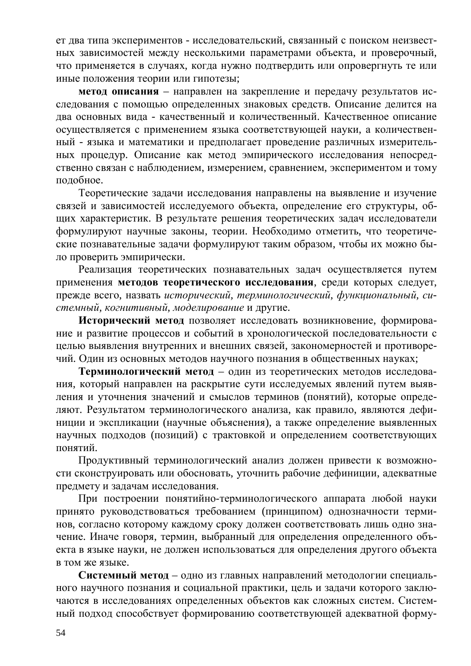ет два типа экспериментов - исследовательский, связанный с поиском неизвестных зависимостей между несколькими параметрами объекта, и проверочный, что применяется в случаях, когда нужно подтвердить или опровергнуть те или иные положения теории или гипотезы;

**метод описания** – направлен на закрепление и передачу результатов исследования с помощью определенных знаковых средств. Описание делится на два основных вида - качественный и количественный. Качественное описание осуществляется с применением языка соответствующей науки, а количественный - языка и математики и предполагает проведение различных измерительных процедур. Описание как метод эмпирического исследования непосредственно связан с наблюдением, измерением, сравнением, экспериментом и тому подобное.

Теоретические задачи исследования направлены на выявление и изучение связей и зависимостей исследуемого объекта, определение его структуры, общих характеристик. В результате решения теоретических задач исследователи формулируют научные законы, теории. Необходимо отметить, что теоретические познавательные задачи формулируют таким образом, чтобы их можно было проверить эмпирически.

Реализация теоретических познавательных задач осуществляется путем применения методов теоретического исследования, среди которых следует, прежде всего, назвать исторический, терминологический, функциональный, системный, когнитивный, моделирование и другие.

Исторический метод позволяет исследовать возникновение, формирование и развитие процессов и событий в хронологической последовательности с целью выявления внутренних и внешних связей, закономерностей и противоречий. Один из основных методов научного познания в общественных науках;

Терминологический метод – один из теоретических методов исследования, который направлен на раскрытие сути исследуемых явлений путем выявления и уточнения значений и смыслов терминов (понятий), которые определяют. Результатом терминологического анализа, как правило, являются дефиниции и экспликации (научные объяснения), а также определение выявленных научных подходов (позиций) с трактовкой и определением соответствующих понятий.

Продуктивный терминологический анализ должен привести к возможности сконструировать или обосновать, уточнить рабочие дефиниции, адекватные предмету и задачам исследования.

При построении понятийно-терминологического аппарата любой науки принято руководствоваться требованием (принципом) однозначности терминов, согласно которому каждому сроку должен соответствовать лишь одно значение. Иначе говоря, термин, выбранный для определения определенного объекта в языке науки, не должен использоваться для определения другого объекта в том же языке.

Системный метод – одно из главных направлений методологии специального научного познания и социальной практики, цель и задачи которого заключаются в исследованиях определенных объектов как сложных систем. Системный подход способствует формированию соответствующей адекватной форму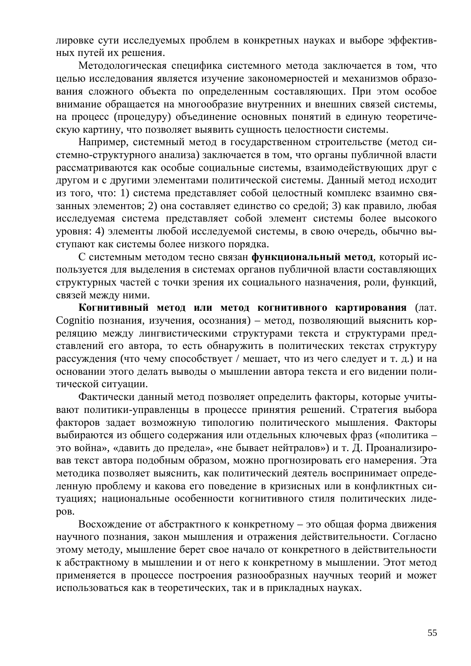лировке сути исследуемых проблем в конкретных науках и выборе эффективных путей их решения.

Методологическая специфика системного метода заключается в том, что целью исследования является изучение закономерностей и механизмов образования сложного объекта по определенным составляющих. При этом особое внимание обращается на многообразие внутренних и внешних связей системы, на процесс (процедуру) объединение основных понятий в единую теоретическую картину, что позволяет выявить сущность целостности системы.

Например, системный метод в государственном строительстве (метод системно-структурного анализа) заключается в том, что органы публичной власти рассматриваются как особые социальные системы, взаимодействующих друг с другом и с другими элементами политической системы. Данный метод исходит из того, что: 1) система представляет собой целостный комплекс взаимно связанных элементов; 2) она составляет единство со средой; 3) как правило, любая исследуемая система представляет собой элемент системы более высокого уровня: 4) элементы любой исследуемой системы, в свою очередь, обычно выступают как системы более низкого порядка.

С системным методом тесно связан функциональный метод, который используется для выделения в системах органов публичной власти составляющих структурных частей с точки зрения их социального назначения, роли, функций, связей между ними.

Когнитивный метод или метод когнитивного картирования (лат. Cognitio познания, изучения, осознания) – метод, позволяющий выяснить корреляцию между лингвистическими структурами текста и структурами представлений его автора, то есть обнаружить в политических текстах структуру рассуждения (что чему способствует / мешает, что из чего следует и т. д.) и на основании этого делать выводы о мышлении автора текста и его видении политической ситуации.

Фактически данный метод позволяет определить факторы, которые учитывают политики-управленцы в процессе принятия решений. Стратегия выбора факторов задает возможную типологию политического мышления. Факторы выбираются из общего содержания или отдельных ключевых фраз («политика – это война», «давить до предела», «не бывает нейтралов») и т. Д. Проанализировав текст автора подобным образом, можно прогнозировать его намерения. Эта методика позволяет выяснить, как политический деятель воспринимает определенную проблему и какова его поведение в кризисных или в конфликтных ситуациях; национальные особенности когнитивного стиля политических лидеpo<sub>B</sub>.

Восхождение от абстрактного к конкретному – это общая форма движения научного познания, закон мышления и отражения действительности. Согласно этому методу, мышление берет свое начало от конкретного в действительности к абстрактному в мышлении и от него к конкретному в мышлении. Этот метод применяется в процессе построения разнообразных научных теорий и может использоваться как в теоретических, так и в прикладных науках.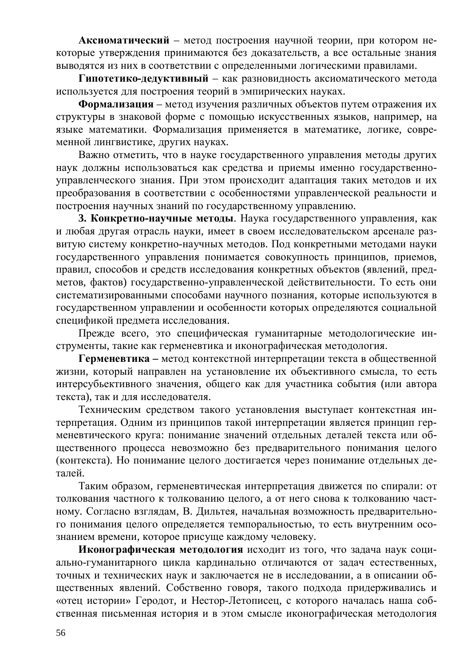**Аксиоматический** – метод построения научной теории, при котором некоторые утверждения принимаются без доказательств, а все остальные знания выводятся из них в соответствии с определенными логическими правилами.

Гипотетико-дедуктивный – как разновидность аксиоматического метода используется для построения теорий в эмпирических науках.

**Формализация** – метод изучения различных объектов путем отражения их структуры в знаковой форме с помощью искусственных языков, например, на языке математики. Формализация применяется в математике, логике, современной лингвистике, других науках.

Важно отметить, что в науке государственного управления методы других наук должны использоваться как средства и приемы именно государственноуправленческого знания. При этом происходит адаптация таких методов и их преобразования в соответствии с особенностями управленческой реальности и построения научных знаний по государственному управлению.

**3. Конкретно-научные методы**. Наука государственного управления, как и любая другая отрасль науки, имеет в своем исследовательском арсенале развитую систему конкретно-научных методов. Под конкретными методами науки государственного управления понимается совокупность принципов, приемов, правил, способов и средств исследования конкретных объектов (явлений, предметов, фактов) государственно-управленческой действительности. То есть они систематизированными способами научного познания, которые используются в государственном управлении и особенности которых определяются социальной спецификой предмета исследования.

Прежде всего, это специфическая гуманитарные методологические инструменты, такие как герменевтика и иконографическая методология.

Герменевтика – метод контекстной интерпретации текста в общественной жизни, который направлен на установление их объективного смысла, то есть интерсубьективного значения, общего как для участника события (или автора текста), так и для исследователя.

Техническим средством такого установления выступает контекстная интерпретация. Одним из принципов такой интерпретации является принцип герменевтического круга: понимание значений отдельных деталей текста или общественного процесса невозможно без предварительного понимания целого контекста). Но понимание целого достигается через понимание отдельных деталей.

Таким образом, герменевтическая интерпретация движется по спирали: от толкования частного к толкованию целого, а от него снова к толкованию частному. Согласно взглядам, В. Дильтея, начальная возможность предварительного понимания целого определяется темпоральностью, то есть внутренним осознанием времени, которое присуще каждому человеку.

Иконографическая методология исходит из того, что задача наук социально-гуманитарного цикла кардинально отличаются от задач естественных, точных и технических наук и заключается не в исследовании, а в описании общественных явлений. Собственно говоря, такого подхода придерживались и «отец истории» Геродот, и Нестор-Летописец, с которого началась наша собственная письменная история и в этом смысле иконографическая методология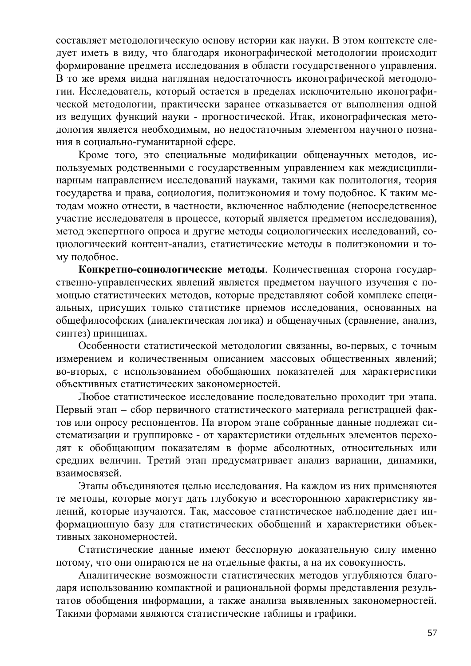составляет методологическую основу истории как науки. В этом контексте следует иметь в виду, что благодаря иконографической методологии происходит формирование предмета исследования в области государственного управления. В то же время видна наглядная недостаточность иконографической методологии. Исследователь, который остается в пределах исключительно иконографической методологии, практически заранее отказывается от выполнения одной из ведущих функций науки - прогностической. Итак, иконографическая методология является необходимым, но недостаточным элементом научного познания в социально-гуманитарной сфере.

Кроме того, это специальные модификации общенаучных методов, используемых родственными с государственным управлением как междисциплинарным направлением исследований науками, такими как политология, теория государства и права, социология, политэкономия и тому подобное. К таким методам можно отнести, в частности, включенное наблюдение (непосредственное участие исследователя в процессе, который является предметом исследования), метод экспертного опроса и другие методы социологических исследований, социологический контент-анализ, статистические методы в политэкономии и тому полобное.

Конкретно-социологические методы. Количественная сторона государственно-управленческих явлений является предметом научного изучения с помощью статистических методов, которые представляют собой комплекс специальных, присущих только статистике приемов исследования, основанных на общефилософских (диалектическая логика) и общенаучных (сравнение, анализ, синтез) принципах.

Особенности статистической методологии связанны, во-первых, с точным измерением и количественным описанием массовых общественных явлений; во-вторых, с использованием обобщающих показателей для характеристики объективных статистических закономерностей.

Любое статистическое исследование последовательно проходит три этапа. Первый этап – сбор первичного статистического материала регистрацией фактов или опросу респондентов. На втором этапе собранные данные подлежат систематизации и группировке - от характеристики отдельных элементов переходят к обобщающим показателям в форме абсолютных, относительных или средних величин. Третий этап предусматривает анализ вариации, динамики, взаимосвязей.

Этапы объединяются целью исследования. На каждом из них применяются те методы, которые могут дать глубокую и всестороннюю характеристику явлений, которые изучаются. Так, массовое статистическое наблюдение дает информационную базу для статистических обобщений и характеристики объективных закономерностей.

Статистические данные имеют бесспорную доказательную силу именно потому, что они опираются не на отдельные факты, а на их совокупность.

Аналитические возможности статистических методов углубляются благодаря использованию компактной и рациональной формы представления результатов обобщения информации, а также анализа выявленных закономерностей. Такими формами являются статистические таблицы и графики.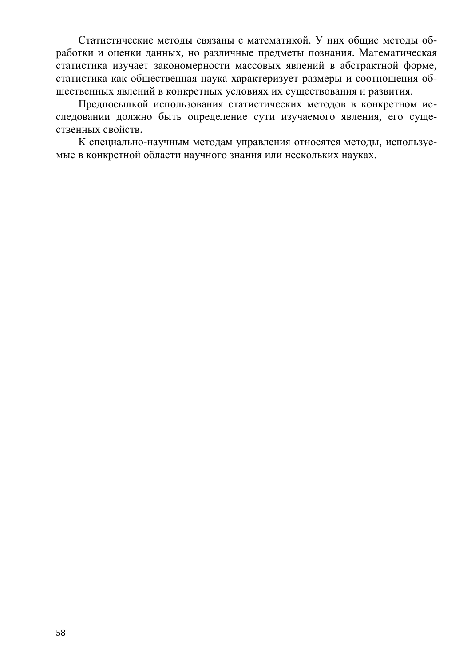Статистические методы связаны с математикой. У них общие методы обработки и оценки данных, но различные предметы познания. Математическая статистика изучает закономерности массовых явлений в абстрактной форме, статистика как общественная наука характеризует размеры и соотношения общественных явлений в конкретных условиях их существования и развития.

Предпосылкой использования статистических методов в конкретном исследовании должно быть определение сути изучаемого явления, его существенных свойств.

К специально-научным методам управления относятся методы, используемые в конкретной области научного знания или нескольких науках.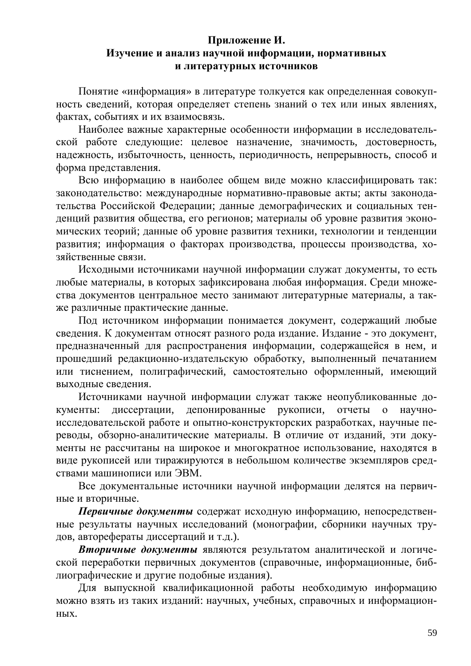# <span id="page-58-0"></span>Приложение И. Изучение и анализ научной информации, нормативных и литературных источников

Понятие «информация» в литературе толкуется как определенная совокупность сведений, которая определяет степень знаний о тех или иных явлениях, фактах, событиях и их взаимосвязь.

Наиболее важные характерные особенности информации в исследовательской работе следующие: целевое назначение, значимость, достоверность, надежность, избыточность, ценность, периодичность, непрерывность, способ и форма представления.

Всю информацию в наиболее общем виде можно классифицировать так: законодательство: международные нормативно-правовые акты; акты законодательства Российской Федерации; данные демографических и социальных тенденций развития общества, его регионов; материалы об уровне развития экономических теорий; данные об уровне развития техники, технологии и тенденции развития; информация о факторах производства, процессы производства, хозяйственные связи.

Исходными источниками научной информации служат документы, то есть любые материалы, в которых зафиксирована любая информация. Среди множества документов центральное место занимают литературные материалы, а также различные практические данные.

Под источником информации понимается документ, содержащий любые сведения. К документам относят разного рода издание. Издание - это документ, предназначенный для распространения информации, содержащейся в нем, и прошедший редакционно-издательскую обработку, выполненный печатанием или тиснением, полиграфический, самостоятельно оформленный, имеющий выходные сведения.

Источниками научной информации служат также неопубликованные документы: диссертации, депонированные рукописи, отчеты о научноисследовательской работе и опытно-конструкторских разработках, научные переводы, обзорно-аналитические материалы. В отличие от изданий, эти документы не рассчитаны на широкое и многократное использование, находятся в виде рукописей или тиражируются в небольшом количестве экземпляров средствами машинописи или ЭВМ.

Все документальные источники научной информации делятся на первичные и вторичные.

Первичные документы содержат исходную информацию, непосредственные результаты научных исследований (монографии, сборники научных трудов, авторефераты диссертаций и т.д.).

**Вторичные документы являются результатом аналитической и логиче**ской переработки первичных документов (справочные, информационные, библиографические и другие подобные издания).

Для выпускной квалификационной работы необходимую информацию можно взять из таких изданий: научных, учебных, справочных и информационных.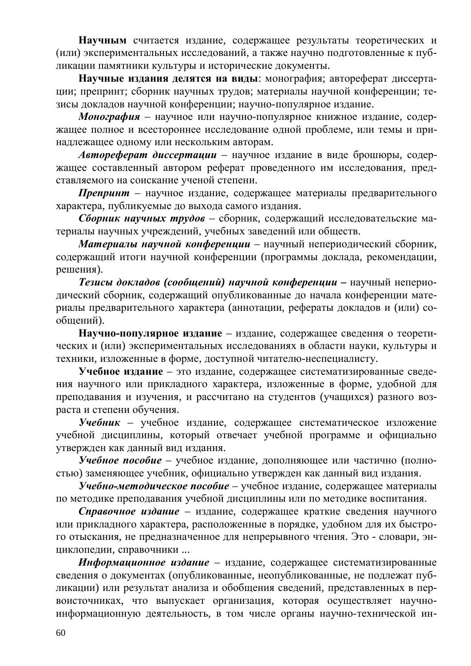Научным считается издание, содержащее результаты теоретических и (или) экспериментальных исследований, а также научно подготовленные к публикации памятники культуры и исторические документы.

Научные издания делятся на виды: монография; автореферат диссертации; препринт; сборник научных трудов; материалы научной конференции; тезисы докладов научной конференции; научно-популярное издание.

Монография – научное или научно-популярное книжное издание, содержащее полное и всестороннее исследование одной проблеме, или темы и принадлежащее одному или нескольким авторам.

**Автореферат диссертации** – научное издание в виде брошюры, содержащее составленный автором реферат проведенного им исследования, представляемого на соискание ученой степени.

**Препринт** – научное издание, содержащее материалы предварительного характера, публикуемые до выхода самого издания.

 $C\delta$ орник научных трудов – сборник, содержащий исследовательские ма териалы научных учреждений, учебных заведений или обществ.

Материалы научной конференции – научный непериодический сборник, содержащий итоги научной конференции (программы доклада, рекомендации, решения).

**Tезисы докладов (сообшений) научной конферениии – научный неперио**дический сборник, содержащий опубликованные до начала конференции материалы предварительного характера (аннотации, рефераты докладов и (или) сообщений).

Научно-популярное издание – издание, содержащее сведения о теоретических и (или) экспериментальных исследованиях в области науки, культуры и техники, изложенные в форме, доступной читателю-неспециалисту.

**Учебное издание** – это издание, содержащее систематизированные сведения научного или прикладного характера, изложенные в форме, удобной для преподавания и изучения, и рассчитано на студентов (учащихся) разного возраста и степени обучения.

**Учебник** – учебное издание, содержащее систематическое изложение учебной дисциплины, который отвечает учебной программе и официально утвержден как данный вид издания.

**Учебное пособие** – учебное издание, дополняющее или частично (полностью) заменяющее учебник, официально утвержден как данный вид издания.

**Учебно-методическое пособие** – учебное издание, содержащее материалы по методике преподавания учебной дисциплины или по методике воспитания.

Справочное издание – издание, содержащее краткие сведения научного или прикладного характера, расположенные в порядке, удобном для их быстрого отыскания, не предназначенное для непрерывного чтения. Это - словари, энциклопедии, справочники ...

Информационное издание – издание, содержащее систематизированные сведения о документах (опубликованные, неопубликованные, не подлежат публикации) или результат анализа и обобщения сведений, представленных в первоисточниках, что выпускает организация, которая осуществляет научноинформационную деятельность, в том числе органы научно-технической ин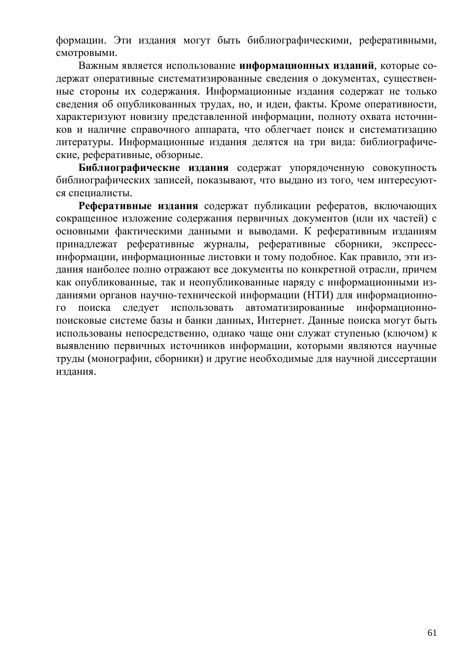формации. Эти издания могут быть библиографическими, реферативными, смотровыми.

Важным является использование информационных изданий, которые содержат оперативные систематизированные сведения о документах, существенные стороны их содержания. Информационные издания содержат не только сведения об опубликованных трудах, но, и идеи, факты. Кроме оперативности, характеризуют новизну представленной информации, полноту охвата источников и наличие справочного аппарата, что облегчает поиск и систематизацию литературы. Информационные издания делятся на три вида: библиографические, реферативные, обзорные.

Библиографические издания содержат упорядоченную совокупность библиографических записей, показывают, что выдано из того, чем интересуются специалисты.

Реферативные издания содержат публикации рефератов, включающих сокращенное изложение содержания первичных документов (или их частей) с основными фактическими данными и выводами. К реферативным изданиям принадлежат реферативные журналы, реферативные сборники, экспрессинформации, информационные листовки и тому подобное. Как правило, эти издания наиболее полно отражают все документы по конкретной отрасли, причем как опубликованные, так и неопубликованные наряду с информационными изданиями органов научно-технической информации (НТИ) для информационного поиска следует использовать автоматизированные информационнопоисковые системе базы и банки данных, Интернет. Данные поиска могут быть использованы непосредственно, однако чаще они служат ступенью (ключом) к выявлению первичных источников информации, которыми являются научные труды (монографии, сборники) и другие необходимые для научной диссертации издания.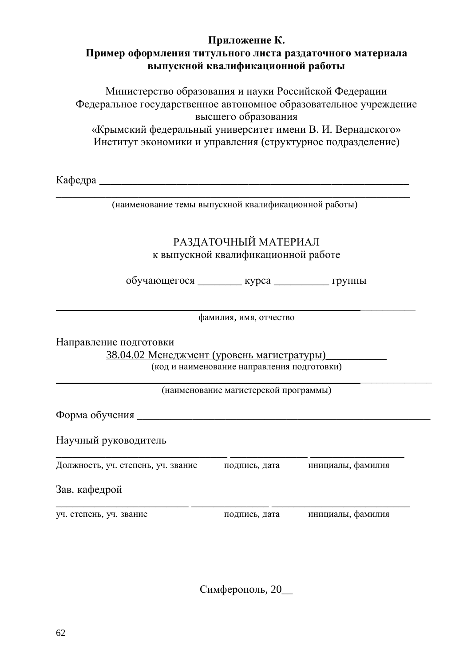# <span id="page-61-0"></span>Приложение К. Пример оформления титульного листа раздаточного материала **выпускной квалификационной работы**

Министерство образования и науки Российской Федерации Федеральное государственное автономное образовательное учреждение высшего образования «Крымский федеральный университет имени В. И. Вернадского»

Институт экономики и управления (структурное подразделение)

Ʉɚɮɟɞɪɚ \_\_\_\_\_\_\_\_\_\_\_\_\_\_\_\_\_\_\_\_\_\_\_\_\_\_\_\_\_\_\_\_\_\_\_\_\_\_\_\_\_\_\_\_\_\_\_\_\_\_\_\_\_\_\_\_

\_\_\_\_\_\_\_\_\_\_\_\_\_\_\_\_\_\_\_\_\_\_\_\_\_\_\_\_\_\_\_\_\_\_\_\_\_\_\_\_\_\_\_\_\_\_\_\_\_\_\_\_\_\_\_\_\_\_\_\_\_\_\_\_ (наименование темы выпускной квалификационной работы)

# РАЗДАТОЧНЫЙ МАТЕРИАЛ к выпускной квалификационной работе

обучающегося \_\_\_\_\_\_\_\_ курса \_\_\_\_\_\_\_\_\_ группы

фамилия, имя, отчество

Направление подготовки

38.04.02 Менеджмент (уровень магистратуры) код и наименование направления подготовки)

\_\_\_\_\_\_\_\_\_\_\_\_\_\_\_\_\_\_\_\_\_\_\_\_\_\_\_\_\_\_\_\_\_\_\_\_\_\_\_\_\_\_\_\_\_\_\_\_\_\_\_\_\_\_\_\_\_\_\_\_\_\_\_\_\_

\_\_\_\_\_\_\_\_\_\_\_\_\_\_\_\_\_\_\_\_\_\_\_\_\_\_\_\_\_\_\_\_\_\_\_\_\_\_\_\_\_\_\_\_\_\_\_\_\_\_\_\_\_\_\_\_\_\_\_\_\_\_\_\_\_\_\_\_ (наименование магистерской программы)

Форма обучения

Научный руководитель

\_\_\_\_\_\_\_\_\_\_\_\_\_\_\_\_\_\_\_\_\_\_\_\_\_\_\_\_\_\_\_ \_\_\_\_\_\_\_\_\_\_\_\_\_\_ \_\_\_\_\_\_\_\_\_\_\_\_\_\_\_\_\_ Должность, уч. степень, уч. звание подпись, дата инициалы, фамилия

Зав. кафелрой

уч. степень, уч. звание подпись, дата инициалы, фамилия

\_\_\_\_\_\_\_\_\_\_\_\_\_\_\_\_\_\_\_\_\_\_\_\_ \_\_\_\_\_\_\_\_\_\_\_\_\_\_ \_\_\_\_\_\_\_\_\_\_\_\_\_\_\_\_\_\_\_\_\_\_\_\_\_

Симферополь, 20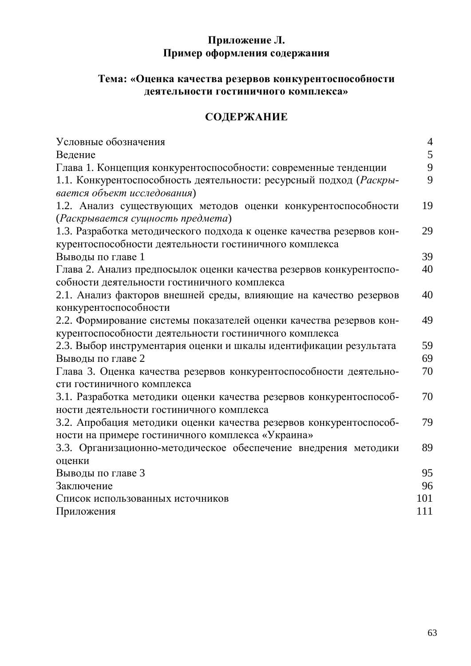# <span id="page-62-0"></span>Приложение Л. Пример оформления содержания

# Тема: «Оценка качества резервов конкурентоспособности деятельности гостиничного комплекса»

# СОДЕРЖАНИЕ

| Условные обозначения                                                  | $\overline{4}$ |
|-----------------------------------------------------------------------|----------------|
| Ведение                                                               | 5              |
| Глава 1. Концепция конкурентоспособности: современные тенденции       | 9              |
| 1.1. Конкурентоспособность деятельности: ресурсный подход (Раскры-    | 9              |
| вается объект исследования)                                           |                |
| 1.2. Анализ существующих методов оценки конкурентоспособности         | 19             |
| (Раскрывается сущность предмета)                                      |                |
| 1.3. Разработка методического подхода к оценке качества резервов кон- | 29             |
| курентоспособности деятельности гостиничного комплекса                |                |
| Выводы по главе 1                                                     | 39             |
| Глава 2. Анализ предпосылок оценки качества резервов конкурентоспо-   | 40             |
| собности деятельности гостиничного комплекса                          |                |
| 2.1. Анализ факторов внешней среды, влияющие на качество резервов     | 40             |
| конкурентоспособности                                                 |                |
| 2.2. Формирование системы показателей оценки качества резервов кон-   | 49             |
| курентоспособности деятельности гостиничного комплекса                |                |
| 2.3. Выбор инструментария оценки и шкалы идентификации результата     | 59             |
| Выводы по главе 2                                                     | 69             |
| Глава 3. Оценка качества резервов конкурентоспособности деятельно-    | 70             |
| сти гостиничного комплекса                                            |                |
| 3.1. Разработка методики оценки качества резервов конкурентоспособ-   | 70             |
| ности деятельности гостиничного комплекса                             |                |
| 3.2. Апробация методики оценки качества резервов конкурентоспособ-    | 79             |
| ности на примере гостиничного комплекса «Украина»                     |                |
| 3.3. Организационно-методическое обеспечение внедрения методики       | 89             |
| оценки                                                                |                |
| Выводы по главе 3                                                     | 95             |
| Заключение                                                            | 96             |
| Список использованных источников                                      | 101            |
| Приложения                                                            | 111            |